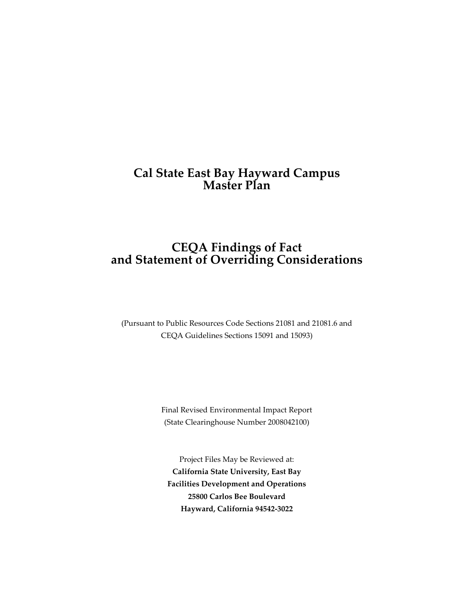# **Cal State East Bay Hayward Campus Master Plan**

# **CEQA Findings of Fact and Statement of Overriding Considerations**

(Pursuant to Public Resources Code Sections 21081 and 21081.6 and CEQA Guidelines Sections 15091 and 15093)

> Final Revised Environmental Impact Report (State Clearinghouse Number 2008042100)

Project Files May be Reviewed at: **California State University, East Bay Facilities Development and Operations 25800 Carlos Bee Boulevard Hayward, California 94542-3022**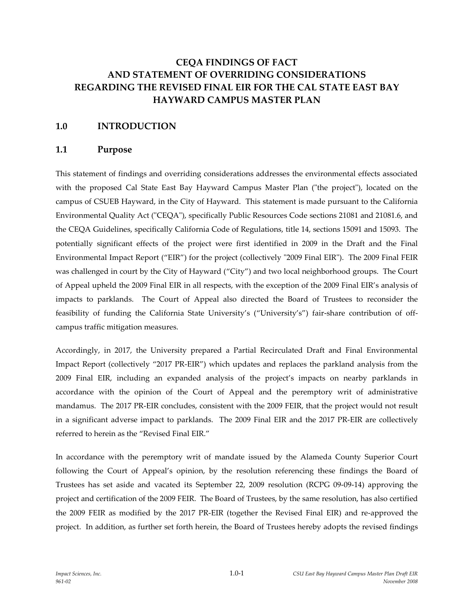# **CEQA FINDINGS OF FACT AND STATEMENT OF OVERRIDING CONSIDERATIONS REGARDING THE REVISED FINAL EIR FOR THE CAL STATE EAST BAY HAYWARD CAMPUS MASTER PLAN**

# **1.0 INTRODUCTION**

# **1.1 Purpose**

This statement of findings and overriding considerations addresses the environmental effects associated with the proposed Cal State East Bay Hayward Campus Master Plan ("the project"), located on the campus of CSUEB Hayward, in the City of Hayward. This statement is made pursuant to the California Environmental Quality Act ("CEQA"), specifically Public Resources Code sections 21081 and 21081.6, and the CEQA Guidelines, specifically California Code of Regulations, title 14, sections 15091 and 15093. The potentially significant effects of the project were first identified in 2009 in the Draft and the Final Environmental Impact Report ("EIR") for the project (collectively "2009 Final EIR"). The 2009 Final FEIR was challenged in court by the City of Hayward ("City") and two local neighborhood groups. The Court of Appeal upheld the 2009 Final EIR in all respects, with the exception of the 2009 Final EIR's analysis of impacts to parklands. The Court of Appeal also directed the Board of Trustees to reconsider the feasibility of funding the California State University's ("University's") fair-share contribution of offcampus traffic mitigation measures.

Accordingly, in 2017, the University prepared a Partial Recirculated Draft and Final Environmental Impact Report (collectively "2017 PR-EIR") which updates and replaces the parkland analysis from the 2009 Final EIR, including an expanded analysis of the project's impacts on nearby parklands in accordance with the opinion of the Court of Appeal and the peremptory writ of administrative mandamus. The 2017 PR-EIR concludes, consistent with the 2009 FEIR, that the project would not result in a significant adverse impact to parklands. The 2009 Final EIR and the 2017 PR-EIR are collectively referred to herein as the "Revised Final EIR."

In accordance with the peremptory writ of mandate issued by the Alameda County Superior Court following the Court of Appeal's opinion, by the resolution referencing these findings the Board of Trustees has set aside and vacated its September 22, 2009 resolution (RCPG 09-09-14) approving the project and certification of the 2009 FEIR. The Board of Trustees, by the same resolution, has also certified the 2009 FEIR as modified by the 2017 PR-EIR (together the Revised Final EIR) and re-approved the project. In addition, as further set forth herein, the Board of Trustees hereby adopts the revised findings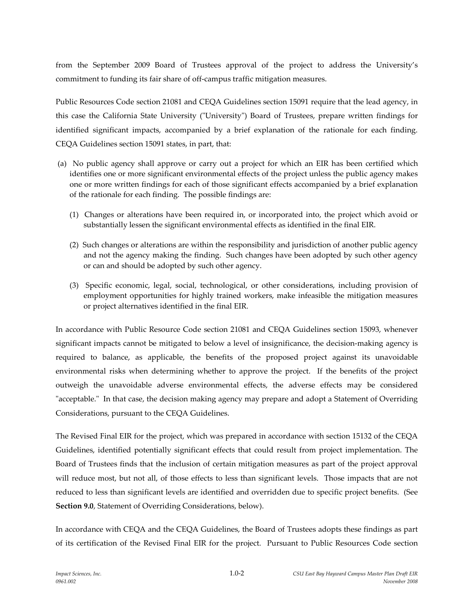from the September 2009 Board of Trustees approval of the project to address the University's commitment to funding its fair share of off-campus traffic mitigation measures.

Public Resources Code section 21081 and CEQA Guidelines section 15091 require that the lead agency, in this case the California State University ("University") Board of Trustees, prepare written findings for identified significant impacts, accompanied by a brief explanation of the rationale for each finding. CEQA Guidelines section 15091 states, in part, that:

- (a) No public agency shall approve or carry out a project for which an EIR has been certified which identifies one or more significant environmental effects of the project unless the public agency makes one or more written findings for each of those significant effects accompanied by a brief explanation of the rationale for each finding. The possible findings are:
	- (1) Changes or alterations have been required in, or incorporated into, the project which avoid or substantially lessen the significant environmental effects as identified in the final EIR.
	- (2) Such changes or alterations are within the responsibility and jurisdiction of another public agency and not the agency making the finding. Such changes have been adopted by such other agency or can and should be adopted by such other agency.
	- (3) Specific economic, legal, social, technological, or other considerations, including provision of employment opportunities for highly trained workers, make infeasible the mitigation measures or project alternatives identified in the final EIR.

In accordance with Public Resource Code section 21081 and CEQA Guidelines section 15093, whenever significant impacts cannot be mitigated to below a level of insignificance, the decision-making agency is required to balance, as applicable, the benefits of the proposed project against its unavoidable environmental risks when determining whether to approve the project. If the benefits of the project outweigh the unavoidable adverse environmental effects, the adverse effects may be considered "acceptable." In that case, the decision making agency may prepare and adopt a Statement of Overriding Considerations, pursuant to the CEQA Guidelines.

The Revised Final EIR for the project, which was prepared in accordance with section 15132 of the CEQA Guidelines, identified potentially significant effects that could result from project implementation. The Board of Trustees finds that the inclusion of certain mitigation measures as part of the project approval will reduce most, but not all, of those effects to less than significant levels. Those impacts that are not reduced to less than significant levels are identified and overridden due to specific project benefits. (See **Section 9.0**, Statement of Overriding Considerations, below).

In accordance with CEQA and the CEQA Guidelines, the Board of Trustees adopts these findings as part of its certification of the Revised Final EIR for the project. Pursuant to Public Resources Code section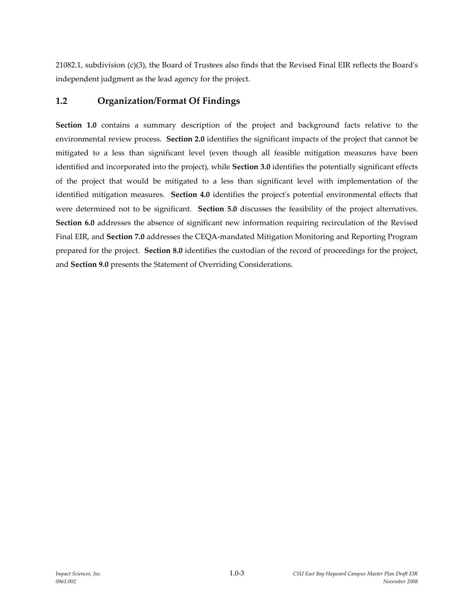21082.1, subdivision (c)(3), the Board of Trustees also finds that the Revised Final EIR reflects the Board's independent judgment as the lead agency for the project.

# **1.2 Organization/Format Of Findings**

**Section 1.0** contains a summary description of the project and background facts relative to the environmental review process. **Section 2.0** identifies the significant impacts of the project that cannot be mitigated to a less than significant level (even though all feasible mitigation measures have been identified and incorporated into the project), while **Section 3.0** identifies the potentially significant effects of the project that would be mitigated to a less than significant level with implementation of the identified mitigation measures. **Section 4.0** identifies the project's potential environmental effects that were determined not to be significant. **Section 5.0** discusses the feasibility of the project alternatives. **Section 6.0** addresses the absence of significant new information requiring recirculation of the Revised Final EIR, and **Section 7.0** addresses the CEQA-mandated Mitigation Monitoring and Reporting Program prepared for the project. **Section 8.0** identifies the custodian of the record of proceedings for the project, and **Section 9.0** presents the Statement of Overriding Considerations.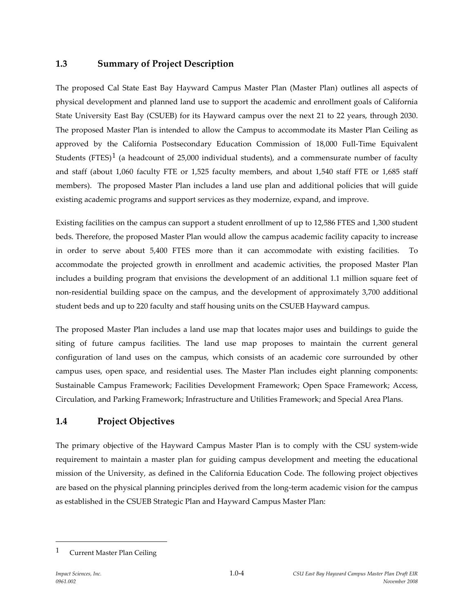# **1.3 Summary of Project Description**

The proposed Cal State East Bay Hayward Campus Master Plan (Master Plan) outlines all aspects of physical development and planned land use to support the academic and enrollment goals of California State University East Bay (CSUEB) for its Hayward campus over the next 21 to 22 years, through 2030. The proposed Master Plan is intended to allow the Campus to accommodate its Master Plan Ceiling as approved by the California Postsecondary Education Commission of 18,000 Full-Time Equivalent Students (FTES)<sup>[1](#page-4-0)</sup> (a headcount of 25,000 individual students), and a commensurate number of faculty and staff (about 1,060 faculty FTE or 1,525 faculty members, and about 1,540 staff FTE or 1,685 staff members). The proposed Master Plan includes a land use plan and additional policies that will guide existing academic programs and support services as they modernize, expand, and improve.

Existing facilities on the campus can support a student enrollment of up to 12,586 FTES and 1,300 student beds. Therefore, the proposed Master Plan would allow the campus academic facility capacity to increase in order to serve about 5,400 FTES more than it can accommodate with existing facilities. To accommodate the projected growth in enrollment and academic activities, the proposed Master Plan includes a building program that envisions the development of an additional 1.1 million square feet of non-residential building space on the campus, and the development of approximately 3,700 additional student beds and up to 220 faculty and staff housing units on the CSUEB Hayward campus.

The proposed Master Plan includes a land use map that locates major uses and buildings to guide the siting of future campus facilities. The land use map proposes to maintain the current general configuration of land uses on the campus, which consists of an academic core surrounded by other campus uses, open space, and residential uses. The Master Plan includes eight planning components: Sustainable Campus Framework; Facilities Development Framework; Open Space Framework; Access, Circulation, and Parking Framework; Infrastructure and Utilities Framework; and Special Area Plans.

# **1.4 Project Objectives**

The primary objective of the Hayward Campus Master Plan is to comply with the CSU system-wide requirement to maintain a master plan for guiding campus development and meeting the educational mission of the University, as defined in the California Education Code. The following project objectives are based on the physical planning principles derived from the long-term academic vision for the campus as established in the CSUEB Strategic Plan and Hayward Campus Master Plan:

 $\overline{a}$ 

<span id="page-4-0"></span><sup>1</sup> Current Master Plan Ceiling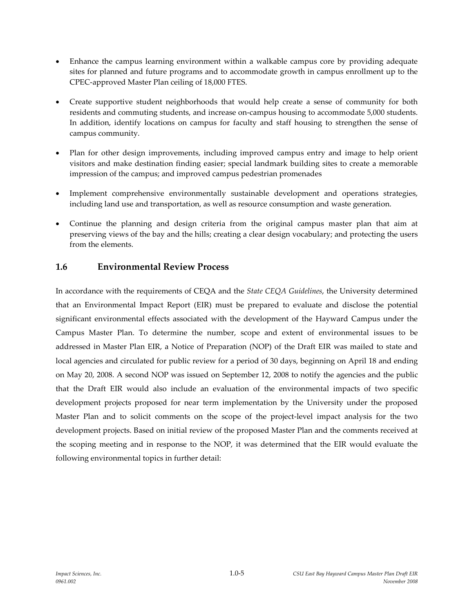- Enhance the campus learning environment within a walkable campus core by providing adequate sites for planned and future programs and to accommodate growth in campus enrollment up to the CPEC-approved Master Plan ceiling of 18,000 FTES.
- Create supportive student neighborhoods that would help create a sense of community for both residents and commuting students, and increase on-campus housing to accommodate 5,000 students. In addition, identify locations on campus for faculty and staff housing to strengthen the sense of campus community.
- Plan for other design improvements, including improved campus entry and image to help orient visitors and make destination finding easier; special landmark building sites to create a memorable impression of the campus; and improved campus pedestrian promenades
- Implement comprehensive environmentally sustainable development and operations strategies, including land use and transportation, as well as resource consumption and waste generation.
- Continue the planning and design criteria from the original campus master plan that aim at preserving views of the bay and the hills; creating a clear design vocabulary; and protecting the users from the elements.

# **1.6 Environmental Review Process**

In accordance with the requirements of CEQA and the *State CEQA Guidelines*, the University determined that an Environmental Impact Report (EIR) must be prepared to evaluate and disclose the potential significant environmental effects associated with the development of the Hayward Campus under the Campus Master Plan. To determine the number, scope and extent of environmental issues to be addressed in Master Plan EIR, a Notice of Preparation (NOP) of the Draft EIR was mailed to state and local agencies and circulated for public review for a period of 30 days, beginning on April 18 and ending on May 20, 2008. A second NOP was issued on September 12, 2008 to notify the agencies and the public that the Draft EIR would also include an evaluation of the environmental impacts of two specific development projects proposed for near term implementation by the University under the proposed Master Plan and to solicit comments on the scope of the project-level impact analysis for the two development projects. Based on initial review of the proposed Master Plan and the comments received at the scoping meeting and in response to the NOP, it was determined that the EIR would evaluate the following environmental topics in further detail: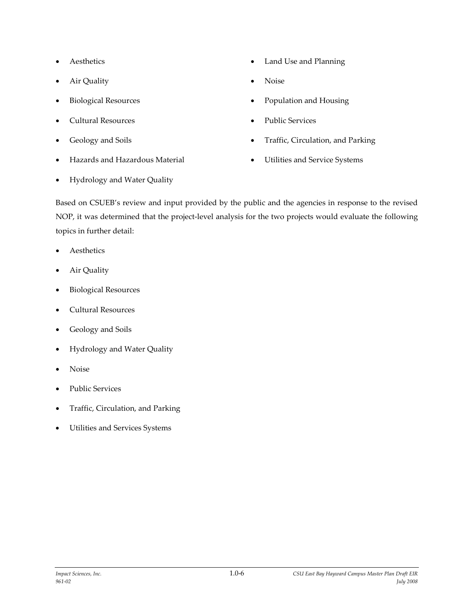- **Aesthetics**
- Air Quality
- Biological Resources
- Cultural Resources
- Geology and Soils
- Hazards and Hazardous Material
- Land Use and Planning
- Noise
- Population and Housing
- Public Services
- Traffic, Circulation, and Parking
- Utilities and Service Systems

• Hydrology and Water Quality

Based on CSUEB's review and input provided by the public and the agencies in response to the revised NOP, it was determined that the project-level analysis for the two projects would evaluate the following topics in further detail:

- **Aesthetics**
- Air Quality
- Biological Resources
- Cultural Resources
- Geology and Soils
- Hydrology and Water Quality
- Noise
- Public Services
- Traffic, Circulation, and Parking
- Utilities and Services Systems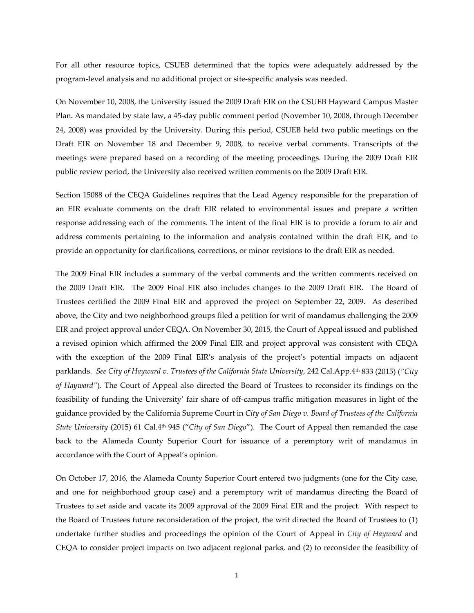For all other resource topics, CSUEB determined that the topics were adequately addressed by the program-level analysis and no additional project or site-specific analysis was needed.

On November 10, 2008, the University issued the 2009 Draft EIR on the CSUEB Hayward Campus Master Plan. As mandated by state law, a 45-day public comment period (November 10, 2008, through December 24, 2008) was provided by the University. During this period, CSUEB held two public meetings on the Draft EIR on November 18 and December 9, 2008, to receive verbal comments. Transcripts of the meetings were prepared based on a recording of the meeting proceedings. During the 2009 Draft EIR public review period, the University also received written comments on the 2009 Draft EIR.

Section 15088 of the CEQA Guidelines requires that the Lead Agency responsible for the preparation of an EIR evaluate comments on the draft EIR related to environmental issues and prepare a written response addressing each of the comments. The intent of the final EIR is to provide a forum to air and address comments pertaining to the information and analysis contained within the draft EIR, and to provide an opportunity for clarifications, corrections, or minor revisions to the draft EIR as needed.

The 2009 Final EIR includes a summary of the verbal comments and the written comments received on the 2009 Draft EIR. The 2009 Final EIR also includes changes to the 2009 Draft EIR. The Board of Trustees certified the 2009 Final EIR and approved the project on September 22, 2009. As described above, the City and two neighborhood groups filed a petition for writ of mandamus challenging the 2009 EIR and project approval under CEQA. On November 30, 2015, the Court of Appeal issued and published a revised opinion which affirmed the 2009 Final EIR and project approval was consistent with CEQA with the exception of the 2009 Final EIR's analysis of the project's potential impacts on adjacent parklands. *See City of Hayward v. Trustees of the California State University*, 242 Cal.App.4th 833 (2015) (*"City of Hayward"*). The Court of Appeal also directed the Board of Trustees to reconsider its findings on the feasibility of funding the University' fair share of off-campus traffic mitigation measures in light of the guidance provided by the California Supreme Court in *City of San Diego v. Board of Trustees of the California State University* (2015) 61 Cal.4th 945 ("*City of San Diego*"). The Court of Appeal then remanded the case back to the Alameda County Superior Court for issuance of a peremptory writ of mandamus in accordance with the Court of Appeal's opinion.

On October 17, 2016, the Alameda County Superior Court entered two judgments (one for the City case, and one for neighborhood group case) and a peremptory writ of mandamus directing the Board of Trustees to set aside and vacate its 2009 approval of the 2009 Final EIR and the project. With respect to the Board of Trustees future reconsideration of the project, the writ directed the Board of Trustees to (1) undertake further studies and proceedings the opinion of the Court of Appeal in *City of Hayward* and CEQA to consider project impacts on two adjacent regional parks, and (2) to reconsider the feasibility of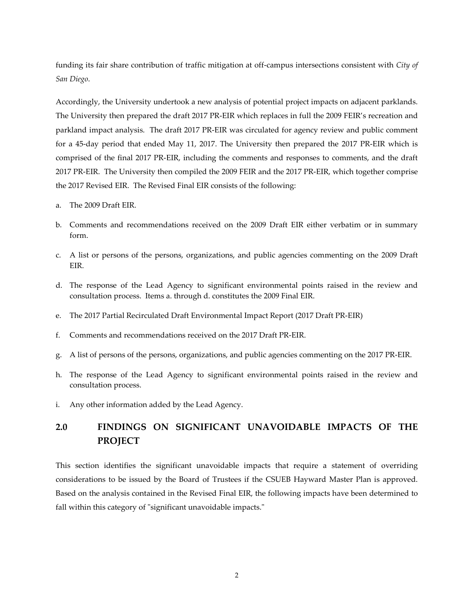funding its fair share contribution of traffic mitigation at off-campus intersections consistent with *City of San Diego*.

Accordingly, the University undertook a new analysis of potential project impacts on adjacent parklands. The University then prepared the draft 2017 PR-EIR which replaces in full the 2009 FEIR's recreation and parkland impact analysis. The draft 2017 PR-EIR was circulated for agency review and public comment for a 45-day period that ended May 11, 2017. The University then prepared the 2017 PR-EIR which is comprised of the final 2017 PR-EIR, including the comments and responses to comments, and the draft 2017 PR-EIR. The University then compiled the 2009 FEIR and the 2017 PR-EIR, which together comprise the 2017 Revised EIR. The Revised Final EIR consists of the following:

- a. The 2009 Draft EIR.
- b. Comments and recommendations received on the 2009 Draft EIR either verbatim or in summary form.
- c. A list or persons of the persons, organizations, and public agencies commenting on the 2009 Draft EIR.
- d. The response of the Lead Agency to significant environmental points raised in the review and consultation process. Items a. through d. constitutes the 2009 Final EIR.
- e. The 2017 Partial Recirculated Draft Environmental Impact Report (2017 Draft PR-EIR)
- f. Comments and recommendations received on the 2017 Draft PR-EIR.
- g. A list of persons of the persons, organizations, and public agencies commenting on the 2017 PR-EIR.
- h. The response of the Lead Agency to significant environmental points raised in the review and consultation process.
- i. Any other information added by the Lead Agency.

# **2.0 FINDINGS ON SIGNIFICANT UNAVOIDABLE IMPACTS OF THE PROJECT**

This section identifies the significant unavoidable impacts that require a statement of overriding considerations to be issued by the Board of Trustees if the CSUEB Hayward Master Plan is approved. Based on the analysis contained in the Revised Final EIR, the following impacts have been determined to fall within this category of "significant unavoidable impacts."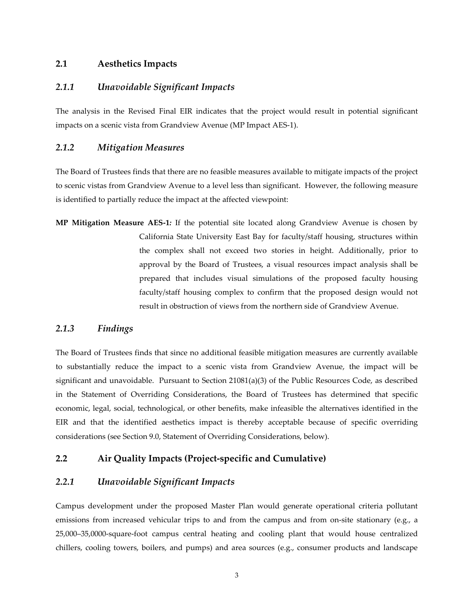# **2.1 Aesthetics Impacts**

## *2.1.1 Unavoidable Significant Impacts*

The analysis in the Revised Final EIR indicates that the project would result in potential significant impacts on a scenic vista from Grandview Avenue (MP Impact AES-1).

#### *2.1.2 Mitigation Measures*

The Board of Trustees finds that there are no feasible measures available to mitigate impacts of the project to scenic vistas from Grandview Avenue to a level less than significant. However, the following measure is identified to partially reduce the impact at the affected viewpoint:

**MP Mitigation Measure AES-1***:* If the potential site located along Grandview Avenue is chosen by California State University East Bay for faculty/staff housing, structures within the complex shall not exceed two stories in height. Additionally, prior to approval by the Board of Trustees, a visual resources impact analysis shall be prepared that includes visual simulations of the proposed faculty housing faculty/staff housing complex to confirm that the proposed design would not result in obstruction of views from the northern side of Grandview Avenue.

### *2.1.3 Findings*

The Board of Trustees finds that since no additional feasible mitigation measures are currently available to substantially reduce the impact to a scenic vista from Grandview Avenue, the impact will be significant and unavoidable. Pursuant to Section 21081(a)(3) of the Public Resources Code, as described in the Statement of Overriding Considerations, the Board of Trustees has determined that specific economic, legal, social, technological, or other benefits, make infeasible the alternatives identified in the EIR and that the identified aesthetics impact is thereby acceptable because of specific overriding considerations (see Section 9.0, Statement of Overriding Considerations, below).

## **2.2 Air Quality Impacts (Project-specific and Cumulative)**

# *2.2.1 Unavoidable Significant Impacts*

Campus development under the proposed Master Plan would generate operational criteria pollutant emissions from increased vehicular trips to and from the campus and from on-site stationary (e.g., a 25,000–35,0000-square-foot campus central heating and cooling plant that would house centralized chillers, cooling towers, boilers, and pumps) and area sources (e.g., consumer products and landscape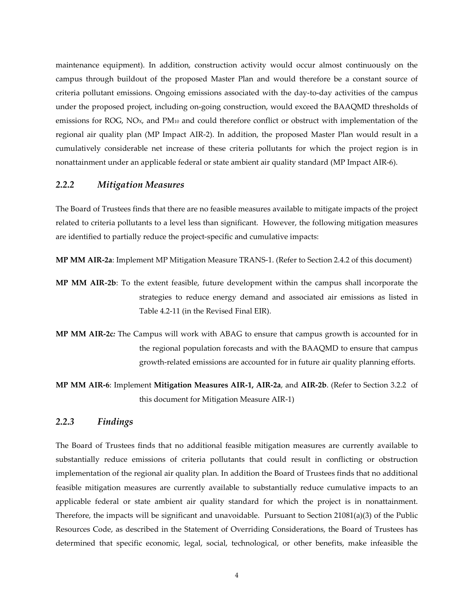maintenance equipment). In addition, construction activity would occur almost continuously on the campus through buildout of the proposed Master Plan and would therefore be a constant source of criteria pollutant emissions. Ongoing emissions associated with the day-to-day activities of the campus under the proposed project, including on-going construction, would exceed the BAAQMD thresholds of emissions for ROG, NOX, and PM10 and could therefore conflict or obstruct with implementation of the regional air quality plan (MP Impact AIR-2). In addition, the proposed Master Plan would result in a cumulatively considerable net increase of these criteria pollutants for which the project region is in nonattainment under an applicable federal or state ambient air quality standard (MP Impact AIR-6).

### *2.2.2 Mitigation Measures*

The Board of Trustees finds that there are no feasible measures available to mitigate impacts of the project related to criteria pollutants to a level less than significant. However, the following mitigation measures are identified to partially reduce the project-specific and cumulative impacts:

**MP MM AIR-2a**: Implement MP Mitigation Measure TRANS-1. (Refer to Section 2.4.2 of this document)

- **MP MM AIR***-***2b**: To the extent feasible, future development within the campus shall incorporate the strategies to reduce energy demand and associated air emissions as listed in Table 4.2-11 (in the Revised Final EIR).
- **MP MM AIR-2c***:* The Campus will work with ABAG to ensure that campus growth is accounted for in the regional population forecasts and with the BAAQMD to ensure that campus growth-related emissions are accounted for in future air quality planning efforts.
- **MP MM AIR-6**: Implement **Mitigation Measures AIR-1, AIR-2a**, and **AIR-2b**. (Refer to Section 3.2.2 of this document for Mitigation Measure AIR-1)

### *2.2.3 Findings*

The Board of Trustees finds that no additional feasible mitigation measures are currently available to substantially reduce emissions of criteria pollutants that could result in conflicting or obstruction implementation of the regional air quality plan. In addition the Board of Trustees finds that no additional feasible mitigation measures are currently available to substantially reduce cumulative impacts to an applicable federal or state ambient air quality standard for which the project is in nonattainment. Therefore, the impacts will be significant and unavoidable. Pursuant to Section 21081(a)(3) of the Public Resources Code, as described in the Statement of Overriding Considerations, the Board of Trustees has determined that specific economic, legal, social, technological, or other benefits, make infeasible the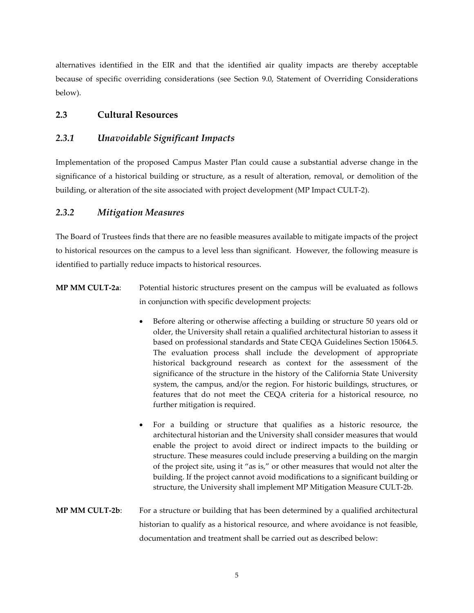alternatives identified in the EIR and that the identified air quality impacts are thereby acceptable because of specific overriding considerations (see Section 9.0, Statement of Overriding Considerations below).

# **2.3 Cultural Resources**

# *2.3.1 Unavoidable Significant Impacts*

Implementation of the proposed Campus Master Plan could cause a substantial adverse change in the significance of a historical building or structure, as a result of alteration, removal, or demolition of the building, or alteration of the site associated with project development (MP Impact CULT-2).

# *2.3.2 Mitigation Measures*

The Board of Trustees finds that there are no feasible measures available to mitigate impacts of the project to historical resources on the campus to a level less than significant. However, the following measure is identified to partially reduce impacts to historical resources.

- **MP MM CULT-2a**: Potential historic structures present on the campus will be evaluated as follows in conjunction with specific development projects:
	- Before altering or otherwise affecting a building or structure 50 years old or older, the University shall retain a qualified architectural historian to assess it based on professional standards and State CEQA Guidelines Section 15064.5. The evaluation process shall include the development of appropriate historical background research as context for the assessment of the significance of the structure in the history of the California State University system, the campus, and/or the region. For historic buildings, structures, or features that do not meet the CEQA criteria for a historical resource, no further mitigation is required.
	- For a building or structure that qualifies as a historic resource, the architectural historian and the University shall consider measures that would enable the project to avoid direct or indirect impacts to the building or structure. These measures could include preserving a building on the margin of the project site, using it "as is," or other measures that would not alter the building. If the project cannot avoid modifications to a significant building or structure, the University shall implement MP Mitigation Measure CULT-2b.
- **MP MM CULT-2b**: For a structure or building that has been determined by a qualified architectural historian to qualify as a historical resource, and where avoidance is not feasible, documentation and treatment shall be carried out as described below: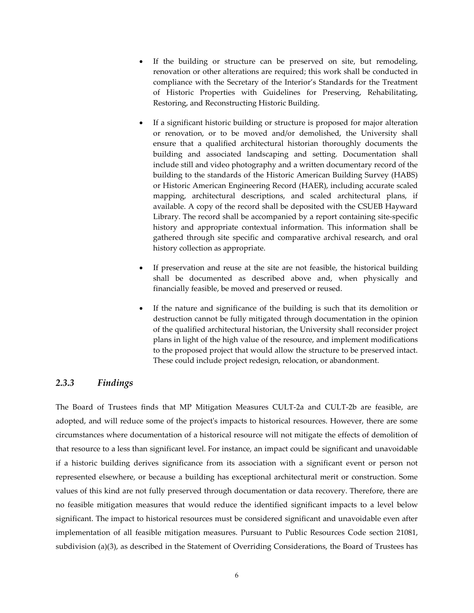- If the building or structure can be preserved on site, but remodeling, renovation or other alterations are required; this work shall be conducted in compliance with the Secretary of the Interior's Standards for the Treatment of Historic Properties with Guidelines for Preserving, Rehabilitating, Restoring, and Reconstructing Historic Building.
- If a significant historic building or structure is proposed for major alteration or renovation, or to be moved and/or demolished, the University shall ensure that a qualified architectural historian thoroughly documents the building and associated landscaping and setting. Documentation shall include still and video photography and a written documentary record of the building to the standards of the Historic American Building Survey (HABS) or Historic American Engineering Record (HAER), including accurate scaled mapping, architectural descriptions, and scaled architectural plans, if available. A copy of the record shall be deposited with the CSUEB Hayward Library. The record shall be accompanied by a report containing site-specific history and appropriate contextual information. This information shall be gathered through site specific and comparative archival research, and oral history collection as appropriate.
- If preservation and reuse at the site are not feasible, the historical building shall be documented as described above and, when physically and financially feasible, be moved and preserved or reused.
- If the nature and significance of the building is such that its demolition or destruction cannot be fully mitigated through documentation in the opinion of the qualified architectural historian, the University shall reconsider project plans in light of the high value of the resource, and implement modifications to the proposed project that would allow the structure to be preserved intact. These could include project redesign, relocation, or abandonment.

# *2.3.3 Findings*

The Board of Trustees finds that MP Mitigation Measures CULT-2a and CULT-2b are feasible, are adopted, and will reduce some of the project's impacts to historical resources. However, there are some circumstances where documentation of a historical resource will not mitigate the effects of demolition of that resource to a less than significant level. For instance, an impact could be significant and unavoidable if a historic building derives significance from its association with a significant event or person not represented elsewhere, or because a building has exceptional architectural merit or construction. Some values of this kind are not fully preserved through documentation or data recovery. Therefore, there are no feasible mitigation measures that would reduce the identified significant impacts to a level below significant. The impact to historical resources must be considered significant and unavoidable even after implementation of all feasible mitigation measures. Pursuant to Public Resources Code section 21081, subdivision (a)(3), as described in the Statement of Overriding Considerations, the Board of Trustees has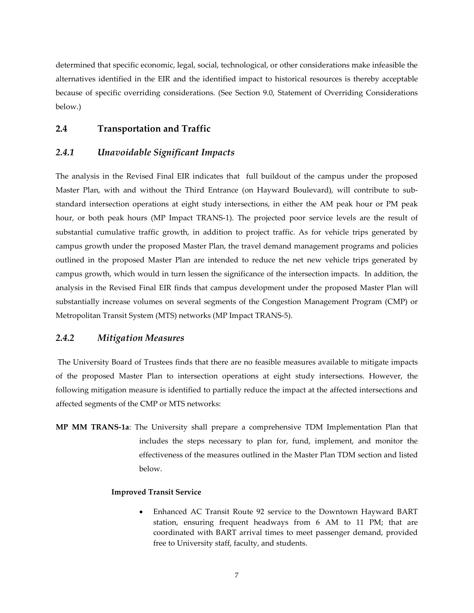determined that specific economic, legal, social, technological, or other considerations make infeasible the alternatives identified in the EIR and the identified impact to historical resources is thereby acceptable because of specific overriding considerations. (See Section 9.0, Statement of Overriding Considerations below.)

# **2.4 Transportation and Traffic**

# *2.4.1 Unavoidable Significant Impacts*

The analysis in the Revised Final EIR indicates that full buildout of the campus under the proposed Master Plan, with and without the Third Entrance (on Hayward Boulevard), will contribute to substandard intersection operations at eight study intersections, in either the AM peak hour or PM peak hour, or both peak hours (MP Impact TRANS-1). The projected poor service levels are the result of substantial cumulative traffic growth, in addition to project traffic. As for vehicle trips generated by campus growth under the proposed Master Plan, the travel demand management programs and policies outlined in the proposed Master Plan are intended to reduce the net new vehicle trips generated by campus growth, which would in turn lessen the significance of the intersection impacts. In addition, the analysis in the Revised Final EIR finds that campus development under the proposed Master Plan will substantially increase volumes on several segments of the Congestion Management Program (CMP) or Metropolitan Transit System (MTS) networks (MP Impact TRANS-5).

# *2.4.2 Mitigation Measures*

The University Board of Trustees finds that there are no feasible measures available to mitigate impacts of the proposed Master Plan to intersection operations at eight study intersections. However, the following mitigation measure is identified to partially reduce the impact at the affected intersections and affected segments of the CMP or MTS networks:

**MP MM TRANS-1a**: The University shall prepare a comprehensive TDM Implementation Plan that includes the steps necessary to plan for, fund, implement, and monitor the effectiveness of the measures outlined in the Master Plan TDM section and listed below.

#### **Improved Transit Service**

• Enhanced AC Transit Route 92 service to the Downtown Hayward BART station, ensuring frequent headways from 6 AM to 11 PM; that are coordinated with BART arrival times to meet passenger demand, provided free to University staff, faculty, and students.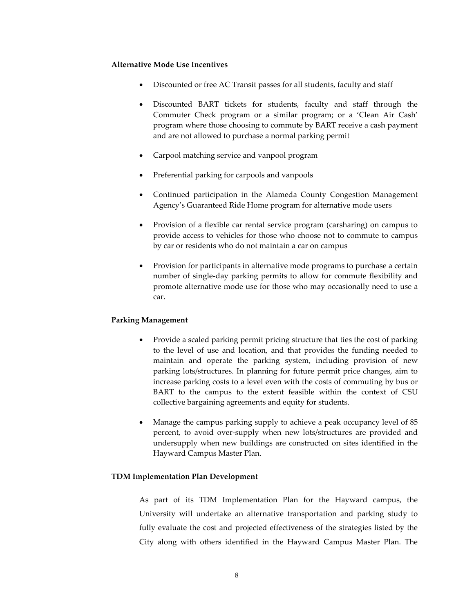#### **Alternative Mode Use Incentives**

- Discounted or free AC Transit passes for all students, faculty and staff
- Discounted BART tickets for students, faculty and staff through the Commuter Check program or a similar program; or a 'Clean Air Cash' program where those choosing to commute by BART receive a cash payment and are not allowed to purchase a normal parking permit
- Carpool matching service and vanpool program
- Preferential parking for carpools and vanpools
- Continued participation in the Alameda County Congestion Management Agency's Guaranteed Ride Home program for alternative mode users
- Provision of a flexible car rental service program (carsharing) on campus to provide access to vehicles for those who choose not to commute to campus by car or residents who do not maintain a car on campus
- Provision for participants in alternative mode programs to purchase a certain number of single-day parking permits to allow for commute flexibility and promote alternative mode use for those who may occasionally need to use a car.

#### **Parking Management**

- Provide a scaled parking permit pricing structure that ties the cost of parking to the level of use and location, and that provides the funding needed to maintain and operate the parking system, including provision of new parking lots/structures. In planning for future permit price changes, aim to increase parking costs to a level even with the costs of commuting by bus or BART to the campus to the extent feasible within the context of CSU collective bargaining agreements and equity for students.
- Manage the campus parking supply to achieve a peak occupancy level of 85 percent, to avoid over-supply when new lots/structures are provided and undersupply when new buildings are constructed on sites identified in the Hayward Campus Master Plan.

#### **TDM Implementation Plan Development**

As part of its TDM Implementation Plan for the Hayward campus, the University will undertake an alternative transportation and parking study to fully evaluate the cost and projected effectiveness of the strategies listed by the City along with others identified in the Hayward Campus Master Plan. The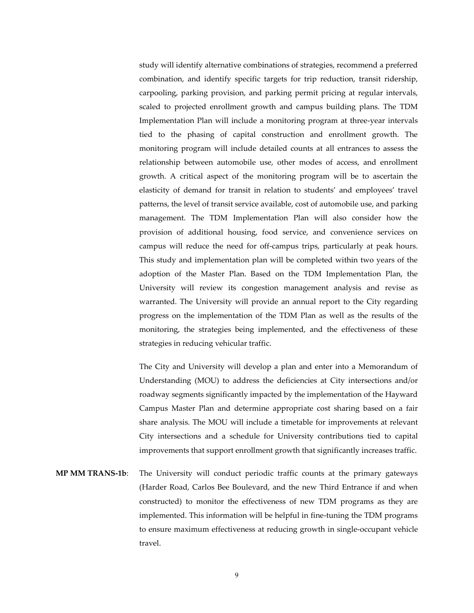study will identify alternative combinations of strategies, recommend a preferred combination, and identify specific targets for trip reduction, transit ridership, carpooling, parking provision, and parking permit pricing at regular intervals, scaled to projected enrollment growth and campus building plans. The TDM Implementation Plan will include a monitoring program at three-year intervals tied to the phasing of capital construction and enrollment growth. The monitoring program will include detailed counts at all entrances to assess the relationship between automobile use, other modes of access, and enrollment growth. A critical aspect of the monitoring program will be to ascertain the elasticity of demand for transit in relation to students' and employees' travel patterns, the level of transit service available, cost of automobile use, and parking management. The TDM Implementation Plan will also consider how the provision of additional housing, food service, and convenience services on campus will reduce the need for off-campus trips, particularly at peak hours. This study and implementation plan will be completed within two years of the adoption of the Master Plan. Based on the TDM Implementation Plan, the University will review its congestion management analysis and revise as warranted. The University will provide an annual report to the City regarding progress on the implementation of the TDM Plan as well as the results of the monitoring, the strategies being implemented, and the effectiveness of these strategies in reducing vehicular traffic.

The City and University will develop a plan and enter into a Memorandum of Understanding (MOU) to address the deficiencies at City intersections and/or roadway segments significantly impacted by the implementation of the Hayward Campus Master Plan and determine appropriate cost sharing based on a fair share analysis. The MOU will include a timetable for improvements at relevant City intersections and a schedule for University contributions tied to capital improvements that support enrollment growth that significantly increases traffic.

**MP MM TRANS-1b**: The University will conduct periodic traffic counts at the primary gateways (Harder Road, Carlos Bee Boulevard, and the new Third Entrance if and when constructed) to monitor the effectiveness of new TDM programs as they are implemented. This information will be helpful in fine-tuning the TDM programs to ensure maximum effectiveness at reducing growth in single-occupant vehicle travel.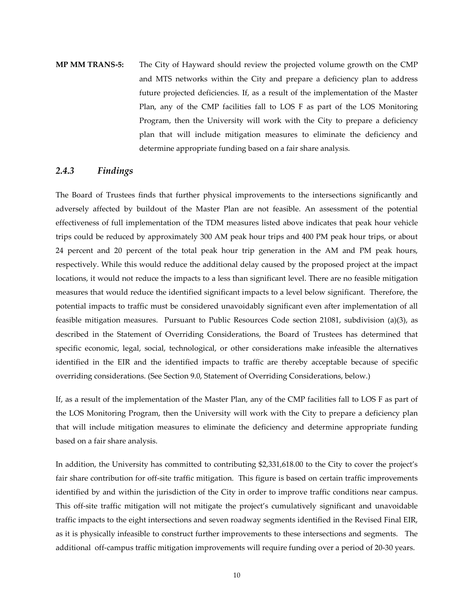**MP MM TRANS-5:** The City of Hayward should review the projected volume growth on the CMP and MTS networks within the City and prepare a deficiency plan to address future projected deficiencies. If, as a result of the implementation of the Master Plan, any of the CMP facilities fall to LOS F as part of the LOS Monitoring Program, then the University will work with the City to prepare a deficiency plan that will include mitigation measures to eliminate the deficiency and determine appropriate funding based on a fair share analysis.

# *2.4.3 Findings*

The Board of Trustees finds that further physical improvements to the intersections significantly and adversely affected by buildout of the Master Plan are not feasible. An assessment of the potential effectiveness of full implementation of the TDM measures listed above indicates that peak hour vehicle trips could be reduced by approximately 300 AM peak hour trips and 400 PM peak hour trips, or about 24 percent and 20 percent of the total peak hour trip generation in the AM and PM peak hours, respectively. While this would reduce the additional delay caused by the proposed project at the impact locations, it would not reduce the impacts to a less than significant level. There are no feasible mitigation measures that would reduce the identified significant impacts to a level below significant. Therefore, the potential impacts to traffic must be considered unavoidably significant even after implementation of all feasible mitigation measures. Pursuant to Public Resources Code section 21081, subdivision (a)(3), as described in the Statement of Overriding Considerations, the Board of Trustees has determined that specific economic, legal, social, technological, or other considerations make infeasible the alternatives identified in the EIR and the identified impacts to traffic are thereby acceptable because of specific overriding considerations. (See Section 9.0, Statement of Overriding Considerations, below.)

If, as a result of the implementation of the Master Plan, any of the CMP facilities fall to LOS F as part of the LOS Monitoring Program, then the University will work with the City to prepare a deficiency plan that will include mitigation measures to eliminate the deficiency and determine appropriate funding based on a fair share analysis.

In addition, the University has committed to contributing \$2,331,618.00 to the City to cover the project's fair share contribution for off-site traffic mitigation. This figure is based on certain traffic improvements identified by and within the jurisdiction of the City in order to improve traffic conditions near campus. This off-site traffic mitigation will not mitigate the project's cumulatively significant and unavoidable traffic impacts to the eight intersections and seven roadway segments identified in the Revised Final EIR, as it is physically infeasible to construct further improvements to these intersections and segments. The additional off-campus traffic mitigation improvements will require funding over a period of 20-30 years.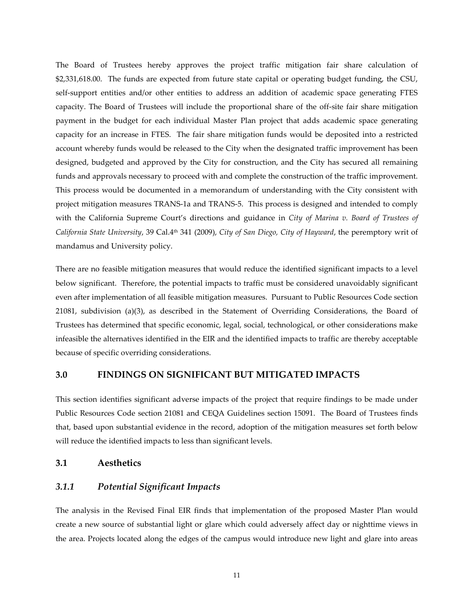The Board of Trustees hereby approves the project traffic mitigation fair share calculation of \$2,331,618.00. The funds are expected from future state capital or operating budget funding, the CSU, self-support entities and/or other entities to address an addition of academic space generating FTES capacity. The Board of Trustees will include the proportional share of the off-site fair share mitigation payment in the budget for each individual Master Plan project that adds academic space generating capacity for an increase in FTES. The fair share mitigation funds would be deposited into a restricted account whereby funds would be released to the City when the designated traffic improvement has been designed, budgeted and approved by the City for construction, and the City has secured all remaining funds and approvals necessary to proceed with and complete the construction of the traffic improvement. This process would be documented in a memorandum of understanding with the City consistent with project mitigation measures TRANS-1a and TRANS-5. This process is designed and intended to comply with the California Supreme Court's directions and guidance in *City of Marina v. Board of Trustees of California State University*, 39 Cal.4th 341 (2009), *City of San Diego, City of Hayward*, the peremptory writ of mandamus and University policy.

There are no feasible mitigation measures that would reduce the identified significant impacts to a level below significant. Therefore, the potential impacts to traffic must be considered unavoidably significant even after implementation of all feasible mitigation measures. Pursuant to Public Resources Code section 21081, subdivision (a)(3), as described in the Statement of Overriding Considerations, the Board of Trustees has determined that specific economic, legal, social, technological, or other considerations make infeasible the alternatives identified in the EIR and the identified impacts to traffic are thereby acceptable because of specific overriding considerations.

# **3.0 FINDINGS ON SIGNIFICANT BUT MITIGATED IMPACTS**

This section identifies significant adverse impacts of the project that require findings to be made under Public Resources Code section 21081 and CEQA Guidelines section 15091. The Board of Trustees finds that, based upon substantial evidence in the record, adoption of the mitigation measures set forth below will reduce the identified impacts to less than significant levels.

### **3.1 Aesthetics**

# *3.1.1 Potential Significant Impacts*

The analysis in the Revised Final EIR finds that implementation of the proposed Master Plan would create a new source of substantial light or glare which could adversely affect day or nighttime views in the area. Projects located along the edges of the campus would introduce new light and glare into areas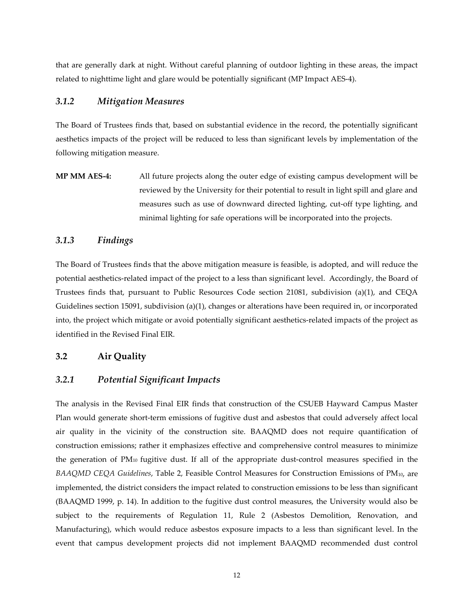that are generally dark at night. Without careful planning of outdoor lighting in these areas, the impact related to nighttime light and glare would be potentially significant (MP Impact AES-4).

# *3.1.2 Mitigation Measures*

The Board of Trustees finds that, based on substantial evidence in the record, the potentially significant aesthetics impacts of the project will be reduced to less than significant levels by implementation of the following mitigation measure.

**MP MM AES-4:** All future projects along the outer edge of existing campus development will be reviewed by the University for their potential to result in light spill and glare and measures such as use of downward directed lighting, cut-off type lighting, and minimal lighting for safe operations will be incorporated into the projects.

# *3.1.3 Findings*

The Board of Trustees finds that the above mitigation measure is feasible, is adopted, and will reduce the potential aesthetics-related impact of the project to a less than significant level. Accordingly, the Board of Trustees finds that, pursuant to Public Resources Code section 21081, subdivision (a)(1), and CEQA Guidelines section 15091, subdivision (a)(1), changes or alterations have been required in, or incorporated into, the project which mitigate or avoid potentially significant aesthetics-related impacts of the project as identified in the Revised Final EIR.

# **3.2 Air Quality**

### *3.2.1 Potential Significant Impacts*

The analysis in the Revised Final EIR finds that construction of the CSUEB Hayward Campus Master Plan would generate short-term emissions of fugitive dust and asbestos that could adversely affect local air quality in the vicinity of the construction site. BAAQMD does not require quantification of construction emissions; rather it emphasizes effective and comprehensive control measures to minimize the generation of PM10 fugitive dust. If all of the appropriate dust-control measures specified in the *BAAQMD CEQA Guidelines*, Table 2, Feasible Control Measures for Construction Emissions of PM10, are implemented, the district considers the impact related to construction emissions to be less than significant (BAAQMD 1999, p. 14). In addition to the fugitive dust control measures, the University would also be subject to the requirements of Regulation 11, Rule 2 (Asbestos Demolition, Renovation, and Manufacturing), which would reduce asbestos exposure impacts to a less than significant level. In the event that campus development projects did not implement BAAQMD recommended dust control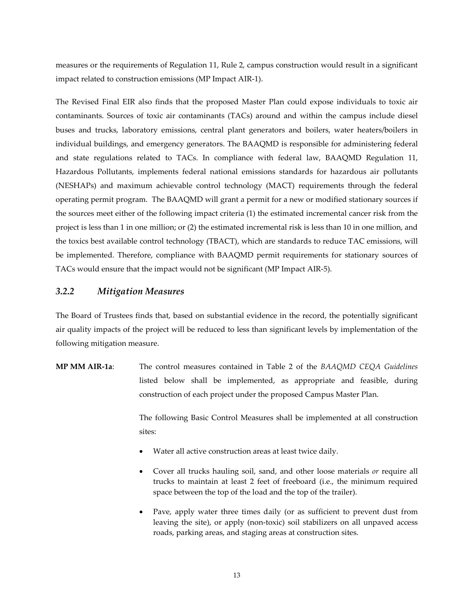measures or the requirements of Regulation 11, Rule 2, campus construction would result in a significant impact related to construction emissions (MP Impact AIR-1).

The Revised Final EIR also finds that the proposed Master Plan could expose individuals to toxic air contaminants. Sources of toxic air contaminants (TACs) around and within the campus include diesel buses and trucks, laboratory emissions, central plant generators and boilers, water heaters/boilers in individual buildings, and emergency generators. The BAAQMD is responsible for administering federal and state regulations related to TACs. In compliance with federal law, BAAQMD Regulation 11, Hazardous Pollutants, implements federal national emissions standards for hazardous air pollutants (NESHAPs) and [maximum achievable control technology \(MACT\) r](http://www.epa.gov/ttn/atw/mactfnlalph.html)equirements through the federal operating permit program. The BAAQMD will grant a permit for a new or modified stationary sources if the sources meet either of the following impact criteria (1) the estimated incremental cancer risk from the project is less than 1 in one million; or (2) the estimated incremental risk is less than 10 in one million, and the toxics best available control technology (TBACT), which are standards to reduce TAC emissions, will be implemented. Therefore, compliance with BAAQMD permit requirements for stationary sources of TACs would ensure that the impact would not be significant (MP Impact AIR-5).

# *3.2.2 Mitigation Measures*

The Board of Trustees finds that, based on substantial evidence in the record, the potentially significant air quality impacts of the project will be reduced to less than significant levels by implementation of the following mitigation measure.

**MP MM AIR-1a**: The control measures contained in Table 2 of the *BAAQMD CEQA Guidelines* listed below shall be implemented, as appropriate and feasible, during construction of each project under the proposed Campus Master Plan.

> The following Basic Control Measures shall be implemented at all construction sites:

- Water all active construction areas at least twice daily.
- Cover all trucks hauling soil, sand, and other loose materials *or* require all trucks to maintain at least 2 feet of freeboard (i.e., the minimum required space between the top of the load and the top of the trailer).
- Pave, apply water three times daily (or as sufficient to prevent dust from leaving the site), or apply (non-toxic) soil stabilizers on all unpaved access roads, parking areas, and staging areas at construction sites.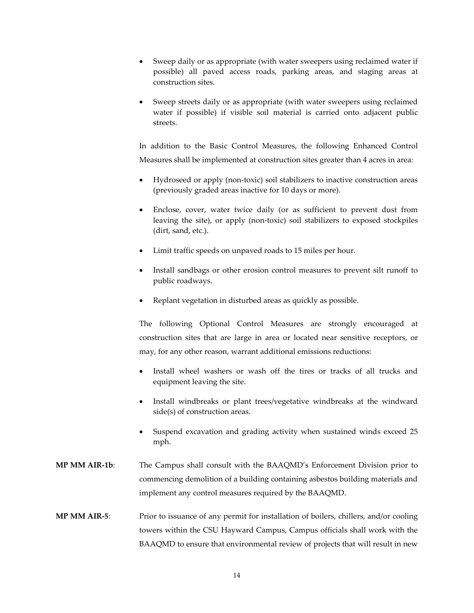- Sweep daily or as appropriate (with water sweepers using reclaimed water if possible) all paved access roads, parking areas, and staging areas at construction sites.
- Sweep streets daily or as appropriate (with water sweepers using reclaimed water if possible) if visible soil material is carried onto adjacent public streets.

In addition to the Basic Control Measures, the following Enhanced Control Measures shall be implemented at construction sites greater than 4 acres in area:

- Hydroseed or apply (non-toxic) soil stabilizers to inactive construction areas (previously graded areas inactive for 10 days or more).
- Enclose, cover, water twice daily (or as sufficient to prevent dust from leaving the site), or apply (non-toxic) soil stabilizers to exposed stockpiles (dirt, sand, etc.).
- Limit traffic speeds on unpaved roads to 15 miles per hour.
- Install sandbags or other erosion control measures to prevent silt runoff to public roadways.
- Replant vegetation in disturbed areas as quickly as possible.

The following Optional Control Measures are strongly encouraged at construction sites that are large in area or located near sensitive receptors, or may, for any other reason, warrant additional emissions reductions:

- Install wheel washers or wash off the tires or tracks of all trucks and equipment leaving the site.
- Install windbreaks or plant trees/vegetative windbreaks at the windward side(s) of construction areas.
- Suspend excavation and grading activity when sustained winds exceed 25 mph.
- **MP MM AIR-1b**: The Campus shall consult with the BAAQMD's Enforcement Division prior to commencing demolition of a building containing asbestos building materials and implement any control measures required by the BAAQMD.
- **MP MM AIR-5**: Prior to issuance of any permit for installation of boilers, chillers, and/or cooling towers within the CSU Hayward Campus, Campus officials shall work with the BAAQMD to ensure that environmental review of projects that will result in new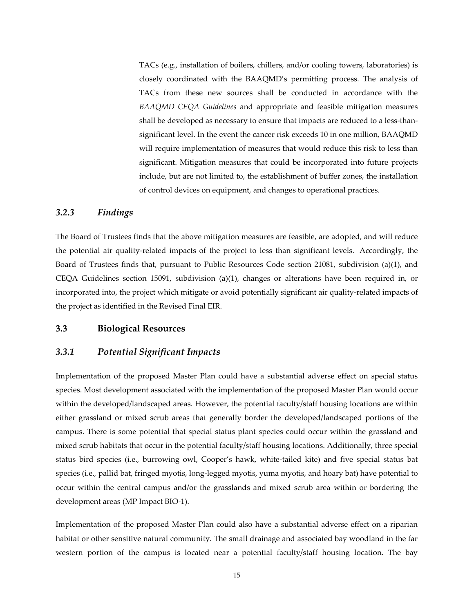TACs (e.g., installation of boilers, chillers, and/or cooling towers, laboratories) is closely coordinated with the BAAQMD's permitting process. The analysis of TACs from these new sources shall be conducted in accordance with the *BAAQMD CEQA Guidelines* and appropriate and feasible mitigation measures shall be developed as necessary to ensure that impacts are reduced to a less-thansignificant level. In the event the cancer risk exceeds 10 in one million, BAAQMD will require implementation of measures that would reduce this risk to less than significant. Mitigation measures that could be incorporated into future projects include, but are not limited to, the establishment of buffer zones, the installation of control devices on equipment, and changes to operational practices.

# *3.2.3 Findings*

The Board of Trustees finds that the above mitigation measures are feasible, are adopted, and will reduce the potential air quality-related impacts of the project to less than significant levels. Accordingly, the Board of Trustees finds that, pursuant to Public Resources Code section 21081, subdivision (a)(1), and CEQA Guidelines section 15091, subdivision (a)(1), changes or alterations have been required in, or incorporated into, the project which mitigate or avoid potentially significant air quality-related impacts of the project as identified in the Revised Final EIR.

# **3.3 Biological Resources**

#### *3.3.1 Potential Significant Impacts*

Implementation of the proposed Master Plan could have a substantial adverse effect on special status species. Most development associated with the implementation of the proposed Master Plan would occur within the developed/landscaped areas. However, the potential faculty/staff housing locations are within either grassland or mixed scrub areas that generally border the developed/landscaped portions of the campus. There is some potential that special status plant species could occur within the grassland and mixed scrub habitats that occur in the potential faculty/staff housing locations. Additionally, three special status bird species (i.e.*,* burrowing owl, Cooper's hawk, white-tailed kite) and five special status bat species (i.e.*,* pallid bat, fringed myotis, long-legged myotis, yuma myotis, and hoary bat) have potential to occur within the central campus and/or the grasslands and mixed scrub area within or bordering the development areas (MP Impact BIO-1).

Implementation of the proposed Master Plan could also have a substantial adverse effect on a riparian habitat or other sensitive natural community. The small drainage and associated bay woodland in the far western portion of the campus is located near a potential faculty/staff housing location. The bay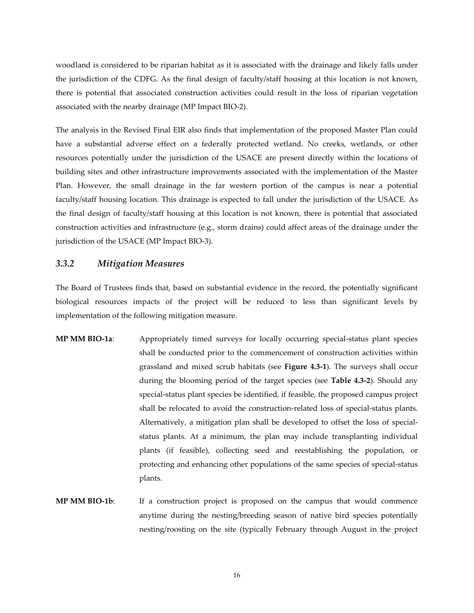woodland is considered to be riparian habitat as it is associated with the drainage and likely falls under the jurisdiction of the CDFG. As the final design of faculty/staff housing at this location is not known, there is potential that associated construction activities could result in the loss of riparian vegetation associated with the nearby drainage (MP Impact BIO-2).

The analysis in the Revised Final EIR also finds that implementation of the proposed Master Plan could have a substantial adverse effect on a federally protected wetland. No creeks, wetlands, or other resources potentially under the jurisdiction of the USACE are present directly within the locations of building sites and other infrastructure improvements associated with the implementation of the Master Plan. However, the small drainage in the far western portion of the campus is near a potential faculty/staff housing location. This drainage is expected to fall under the jurisdiction of the USACE. As the final design of faculty/staff housing at this location is not known, there is potential that associated construction activities and infrastructure (e.g., storm drains) could affect areas of the drainage under the jurisdiction of the USACE (MP Impact BIO-3).

### *3.3.2 Mitigation Measures*

The Board of Trustees finds that, based on substantial evidence in the record, the potentially significant biological resources impacts of the project will be reduced to less than significant levels by implementation of the following mitigation measure.

- **MP MM BIO-1a**: Appropriately timed surveys for locally occurring special-status plant species shall be conducted prior to the commencement of construction activities within grassland and mixed scrub habitats (see **Figure 4.3-1**). The surveys shall occur during the blooming period of the target species (see **Table 4.3-2**). Should any special-status plant species be identified, if feasible, the proposed campus project shall be relocated to avoid the construction-related loss of special-status plants. Alternatively, a mitigation plan shall be developed to offset the loss of specialstatus plants. At a minimum, the plan may include transplanting individual plants (if feasible), collecting seed and reestablishing the population, or protecting and enhancing other populations of the same species of special-status plants.
- **MP MM BIO-1b**: If a construction project is proposed on the campus that would commence anytime during the nesting/breeding season of native bird species potentially nesting/roosting on the site (typically February through August in the project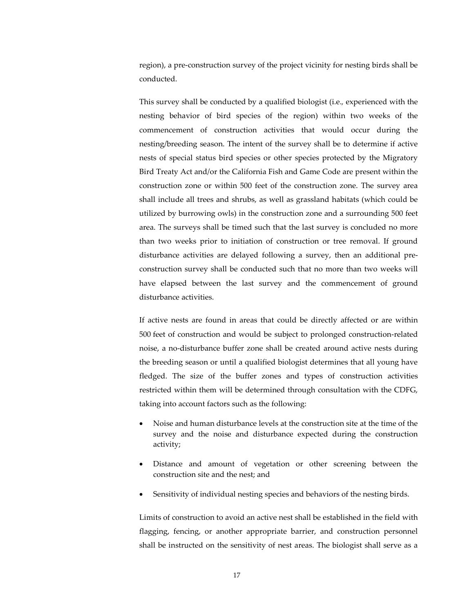region), a pre-construction survey of the project vicinity for nesting birds shall be conducted.

This survey shall be conducted by a qualified biologist (i.e.*,* experienced with the nesting behavior of bird species of the region) within two weeks of the commencement of construction activities that would occur during the nesting/breeding season. The intent of the survey shall be to determine if active nests of special status bird species or other species protected by the Migratory Bird Treaty Act and/or the California Fish and Game Code are present within the construction zone or within 500 feet of the construction zone. The survey area shall include all trees and shrubs, as well as grassland habitats (which could be utilized by burrowing owls) in the construction zone and a surrounding 500 feet area. The surveys shall be timed such that the last survey is concluded no more than two weeks prior to initiation of construction or tree removal. If ground disturbance activities are delayed following a survey, then an additional preconstruction survey shall be conducted such that no more than two weeks will have elapsed between the last survey and the commencement of ground disturbance activities.

If active nests are found in areas that could be directly affected or are within 500 feet of construction and would be subject to prolonged construction-related noise, a no-disturbance buffer zone shall be created around active nests during the breeding season or until a qualified biologist determines that all young have fledged. The size of the buffer zones and types of construction activities restricted within them will be determined through consultation with the CDFG, taking into account factors such as the following:

- Noise and human disturbance levels at the construction site at the time of the survey and the noise and disturbance expected during the construction activity;
- Distance and amount of vegetation or other screening between the construction site and the nest; and
- Sensitivity of individual nesting species and behaviors of the nesting birds.

Limits of construction to avoid an active nest shall be established in the field with flagging, fencing, or another appropriate barrier, and construction personnel shall be instructed on the sensitivity of nest areas. The biologist shall serve as a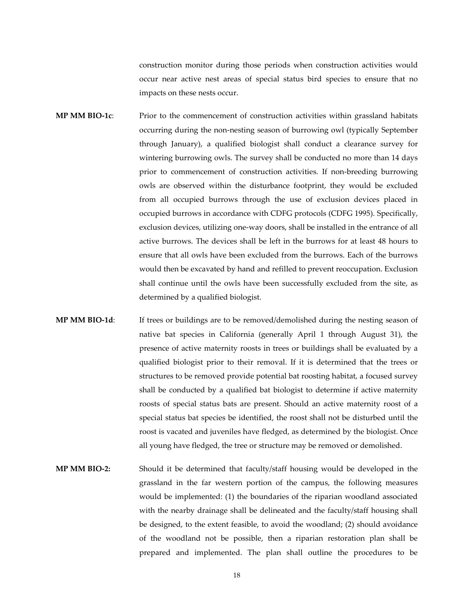construction monitor during those periods when construction activities would occur near active nest areas of special status bird species to ensure that no impacts on these nests occur.

- **MP MM BIO-1c**: Prior to the commencement of construction activities within grassland habitats occurring during the non-nesting season of burrowing owl (typically September through January), a qualified biologist shall conduct a clearance survey for wintering burrowing owls. The survey shall be conducted no more than 14 days prior to commencement of construction activities. If non-breeding burrowing owls are observed within the disturbance footprint, they would be excluded from all occupied burrows through the use of exclusion devices placed in occupied burrows in accordance with CDFG protocols (CDFG 1995). Specifically, exclusion devices, utilizing one-way doors, shall be installed in the entrance of all active burrows. The devices shall be left in the burrows for at least 48 hours to ensure that all owls have been excluded from the burrows. Each of the burrows would then be excavated by hand and refilled to prevent reoccupation. Exclusion shall continue until the owls have been successfully excluded from the site, as determined by a qualified biologist.
- **MP MM BIO-1d**: If trees or buildings are to be removed/demolished during the nesting season of native bat species in California (generally April 1 through August 31), the presence of active maternity roosts in trees or buildings shall be evaluated by a qualified biologist prior to their removal. If it is determined that the trees or structures to be removed provide potential bat roosting habitat, a focused survey shall be conducted by a qualified bat biologist to determine if active maternity roosts of special status bats are present. Should an active maternity roost of a special status bat species be identified, the roost shall not be disturbed until the roost is vacated and juveniles have fledged, as determined by the biologist. Once all young have fledged, the tree or structure may be removed or demolished.
- **MP MM BIO-2:** Should it be determined that faculty/staff housing would be developed in the grassland in the far western portion of the campus, the following measures would be implemented: (1) the boundaries of the riparian woodland associated with the nearby drainage shall be delineated and the faculty/staff housing shall be designed, to the extent feasible, to avoid the woodland; (2) should avoidance of the woodland not be possible, then a riparian restoration plan shall be prepared and implemented. The plan shall outline the procedures to be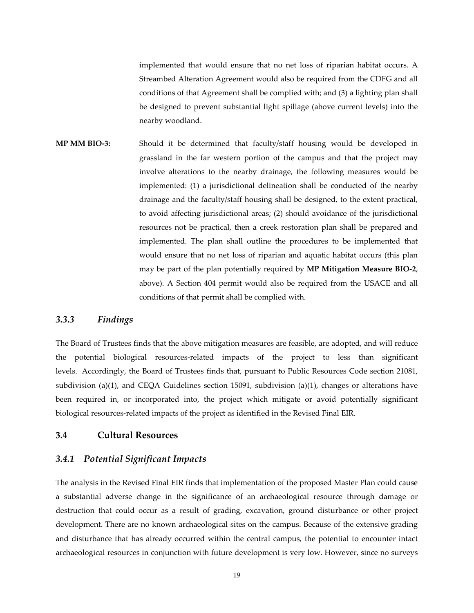implemented that would ensure that no net loss of riparian habitat occurs. A Streambed Alteration Agreement would also be required from the CDFG and all conditions of that Agreement shall be complied with; and (3) a lighting plan shall be designed to prevent substantial light spillage (above current levels) into the nearby woodland.

**MP MM BIO-3:** Should it be determined that faculty/staff housing would be developed in grassland in the far western portion of the campus and that the project may involve alterations to the nearby drainage, the following measures would be implemented: (1) a jurisdictional delineation shall be conducted of the nearby drainage and the faculty/staff housing shall be designed, to the extent practical, to avoid affecting jurisdictional areas; (2) should avoidance of the jurisdictional resources not be practical, then a creek restoration plan shall be prepared and implemented. The plan shall outline the procedures to be implemented that would ensure that no net loss of riparian and aquatic habitat occurs (this plan may be part of the plan potentially required by **MP Mitigation Measure BIO-2**, above). A Section 404 permit would also be required from the USACE and all conditions of that permit shall be complied with.

### *3.3.3 Findings*

The Board of Trustees finds that the above mitigation measures are feasible, are adopted, and will reduce the potential biological resources-related impacts of the project to less than significant levels. Accordingly, the Board of Trustees finds that, pursuant to Public Resources Code section 21081, subdivision (a)(1), and CEQA Guidelines section 15091, subdivision (a)(1), changes or alterations have been required in, or incorporated into, the project which mitigate or avoid potentially significant biological resources-related impacts of the project as identified in the Revised Final EIR.

#### **3.4 Cultural Resources**

## *3.4.1 Potential Significant Impacts*

The analysis in the Revised Final EIR finds that implementation of the proposed Master Plan could cause a substantial adverse change in the significance of an archaeological resource through damage or destruction that could occur as a result of grading, excavation, ground disturbance or other project development. There are no known archaeological sites on the campus. Because of the extensive grading and disturbance that has already occurred within the central campus, the potential to encounter intact archaeological resources in conjunction with future development is very low. However, since no surveys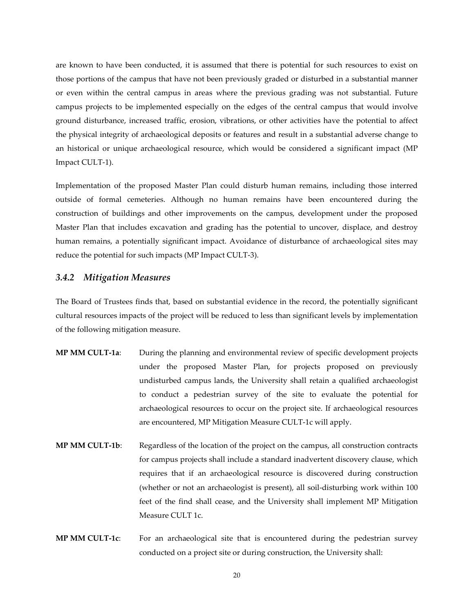are known to have been conducted, it is assumed that there is potential for such resources to exist on those portions of the campus that have not been previously graded or disturbed in a substantial manner or even within the central campus in areas where the previous grading was not substantial. Future campus projects to be implemented especially on the edges of the central campus that would involve ground disturbance, increased traffic, erosion, vibrations, or other activities have the potential to affect the physical integrity of archaeological deposits or features and result in a substantial adverse change to an historical or unique archaeological resource, which would be considered a significant impact (MP Impact CULT-1).

Implementation of the proposed Master Plan could disturb human remains, including those interred outside of formal cemeteries. Although no human remains have been encountered during the construction of buildings and other improvements on the campus, development under the proposed Master Plan that includes excavation and grading has the potential to uncover, displace, and destroy human remains, a potentially significant impact. Avoidance of disturbance of archaeological sites may reduce the potential for such impacts (MP Impact CULT-3).

#### *3.4.2 Mitigation Measures*

The Board of Trustees finds that, based on substantial evidence in the record, the potentially significant cultural resources impacts of the project will be reduced to less than significant levels by implementation of the following mitigation measure.

- **MP MM CULT-1a**: During the planning and environmental review of specific development projects under the proposed Master Plan, for projects proposed on previously undisturbed campus lands, the University shall retain a qualified archaeologist to conduct a pedestrian survey of the site to evaluate the potential for archaeological resources to occur on the project site. If archaeological resources are encountered, MP Mitigation Measure CULT-1c will apply.
- **MP MM CULT-1b**: Regardless of the location of the project on the campus, all construction contracts for campus projects shall include a standard inadvertent discovery clause, which requires that if an archaeological resource is discovered during construction (whether or not an archaeologist is present), all soil-disturbing work within 100 feet of the find shall cease, and the University shall implement MP Mitigation Measure CULT 1c.
- **MP MM CULT-1c**: For an archaeological site that is encountered during the pedestrian survey conducted on a project site or during construction, the University shall: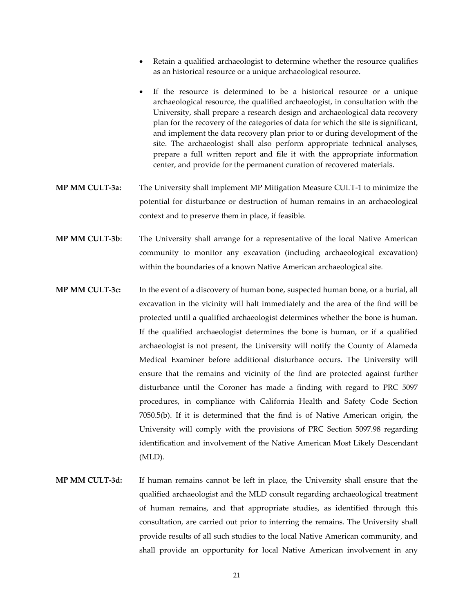- Retain a qualified archaeologist to determine whether the resource qualifies as an historical resource or a unique archaeological resource.
- If the resource is determined to be a historical resource or a unique archaeological resource, the qualified archaeologist, in consultation with the University, shall prepare a research design and archaeological data recovery plan for the recovery of the categories of data for which the site is significant, and implement the data recovery plan prior to or during development of the site. The archaeologist shall also perform appropriate technical analyses, prepare a full written report and file it with the appropriate information center, and provide for the permanent curation of recovered materials.
- **MP MM CULT-3a:** The University shall implement MP Mitigation Measure CULT-1 to minimize the potential for disturbance or destruction of human remains in an archaeological context and to preserve them in place, if feasible.
- **MP MM CULT-3b**: The University shall arrange for a representative of the local Native American community to monitor any excavation (including archaeological excavation) within the boundaries of a known Native American archaeological site.
- **MP MM CULT-3c:** In the event of a discovery of human bone, suspected human bone, or a burial, all excavation in the vicinity will halt immediately and the area of the find will be protected until a qualified archaeologist determines whether the bone is human. If the qualified archaeologist determines the bone is human, or if a qualified archaeologist is not present, the University will notify the County of Alameda Medical Examiner before additional disturbance occurs. The University will ensure that the remains and vicinity of the find are protected against further disturbance until the Coroner has made a finding with regard to PRC 5097 procedures, in compliance with California Health and Safety Code Section 7050.5(b). If it is determined that the find is of Native American origin, the University will comply with the provisions of PRC Section 5097.98 regarding identification and involvement of the Native American Most Likely Descendant (MLD).
- **MP MM CULT-3d:** If human remains cannot be left in place, the University shall ensure that the qualified archaeologist and the MLD consult regarding archaeological treatment of human remains, and that appropriate studies, as identified through this consultation, are carried out prior to interring the remains. The University shall provide results of all such studies to the local Native American community, and shall provide an opportunity for local Native American involvement in any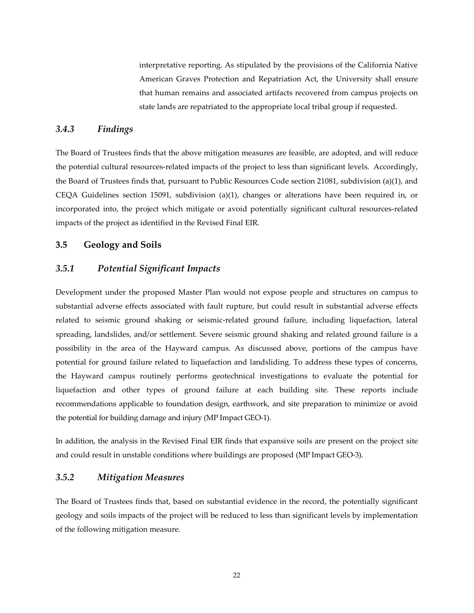interpretative reporting. As stipulated by the provisions of the California Native American Graves Protection and Repatriation Act, the University shall ensure that human remains and associated artifacts recovered from campus projects on state lands are repatriated to the appropriate local tribal group if requested.

# *3.4.3 Findings*

The Board of Trustees finds that the above mitigation measures are feasible, are adopted, and will reduce the potential cultural resources-related impacts of the project to less than significant levels. Accordingly, the Board of Trustees finds that, pursuant to Public Resources Code section 21081, subdivision (a)(1), and CEQA Guidelines section 15091, subdivision (a)(1), changes or alterations have been required in, or incorporated into, the project which mitigate or avoid potentially significant cultural resources-related impacts of the project as identified in the Revised Final EIR.

#### **3.5 Geology and Soils**

# *3.5.1 Potential Significant Impacts*

Development under the proposed Master Plan would not expose people and structures on campus to substantial adverse effects associated with fault rupture, but could result in substantial adverse effects related to seismic ground shaking or seismic-related ground failure, including liquefaction, lateral spreading, landslides, and/or settlement. Severe seismic ground shaking and related ground failure is a possibility in the area of the Hayward campus. As discussed above, portions of the campus have potential for ground failure related to liquefaction and landsliding. To address these types of concerns, the Hayward campus routinely performs geotechnical investigations to evaluate the potential for liquefaction and other types of ground failure at each building site. These reports include recommendations applicable to foundation design, earthwork, and site preparation to minimize or avoid the potential for building damage and injury (MP Impact GEO-1).

In addition, the analysis in the Revised Final EIR finds that expansive soils are present on the project site and could result in unstable conditions where buildings are proposed (MP Impact GEO-3).

# *3.5.2 Mitigation Measures*

The Board of Trustees finds that, based on substantial evidence in the record, the potentially significant geology and soils impacts of the project will be reduced to less than significant levels by implementation of the following mitigation measure.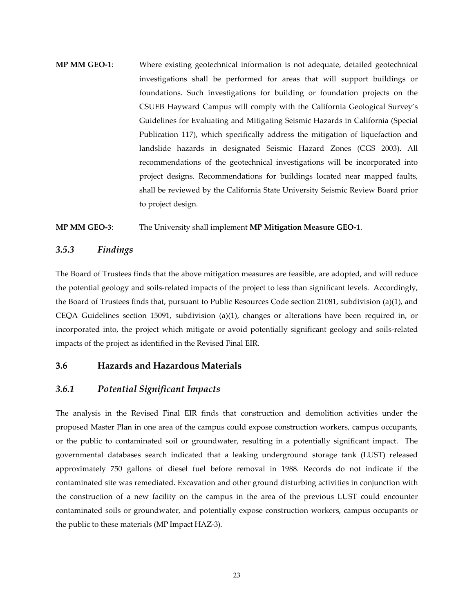**MP MM GEO-1**: Where existing geotechnical information is not adequate, detailed geotechnical investigations shall be performed for areas that will support buildings or foundations. Such investigations for building or foundation projects on the CSUEB Hayward Campus will comply with the California Geological Survey's Guidelines for Evaluating and Mitigating Seismic Hazards in California (Special Publication 117), which specifically address the mitigation of liquefaction and landslide hazards in designated Seismic Hazard Zones (CGS 2003). All recommendations of the geotechnical investigations will be incorporated into project designs. Recommendations for buildings located near mapped faults, shall be reviewed by the California State University Seismic Review Board prior to project design.

#### **MP MM GEO-3**: The University shall implement **MP Mitigation Measure GEO-1**.

#### *3.5.3 Findings*

The Board of Trustees finds that the above mitigation measures are feasible, are adopted, and will reduce the potential geology and soils-related impacts of the project to less than significant levels. Accordingly, the Board of Trustees finds that, pursuant to Public Resources Code section 21081, subdivision (a)(1), and CEQA Guidelines section 15091, subdivision (a)(1), changes or alterations have been required in, or incorporated into, the project which mitigate or avoid potentially significant geology and soils-related impacts of the project as identified in the Revised Final EIR.

# **3.6 Hazards and Hazardous Materials**

# *3.6.1 Potential Significant Impacts*

The analysis in the Revised Final EIR finds that construction and demolition activities under the proposed Master Plan in one area of the campus could expose construction workers, campus occupants, or the public to contaminated soil or groundwater, resulting in a potentially significant impact. The governmental databases search indicated that a leaking underground storage tank (LUST) released approximately 750 gallons of diesel fuel before removal in 1988. Records do not indicate if the contaminated site was remediated. Excavation and other ground disturbing activities in conjunction with the construction of a new facility on the campus in the area of the previous LUST could encounter contaminated soils or groundwater, and potentially expose construction workers, campus occupants or the public to these materials (MP Impact HAZ-3).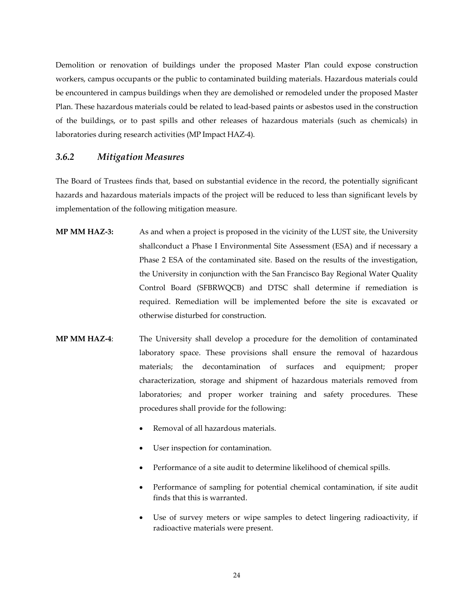Demolition or renovation of buildings under the proposed Master Plan could expose construction workers, campus occupants or the public to contaminated building materials. Hazardous materials could be encountered in campus buildings when they are demolished or remodeled under the proposed Master Plan. These hazardous materials could be related to lead-based paints or asbestos used in the construction of the buildings, or to past spills and other releases of hazardous materials (such as chemicals) in laboratories during research activities (MP Impact HAZ-4).

## *3.6.2 Mitigation Measures*

The Board of Trustees finds that, based on substantial evidence in the record, the potentially significant hazards and hazardous materials impacts of the project will be reduced to less than significant levels by implementation of the following mitigation measure.

- **MP MM HAZ-3:** As and when a project is proposed in the vicinity of the LUST site, the University shallconduct a Phase I Environmental Site Assessment (ESA) and if necessary a Phase 2 ESA of the contaminated site. Based on the results of the investigation, the University in conjunction with the San Francisco Bay Regional Water Quality Control Board (SFBRWQCB) and DTSC shall determine if remediation is required. Remediation will be implemented before the site is excavated or otherwise disturbed for construction.
- **MP MM HAZ-4**: The University shall develop a procedure for the demolition of contaminated laboratory space. These provisions shall ensure the removal of hazardous materials; the decontamination of surfaces and equipment; proper characterization, storage and shipment of hazardous materials removed from laboratories; and proper worker training and safety procedures. These procedures shall provide for the following:
	- Removal of all hazardous materials.
	- User inspection for contamination.
	- Performance of a site audit to determine likelihood of chemical spills.
	- Performance of sampling for potential chemical contamination, if site audit finds that this is warranted.
	- Use of survey meters or wipe samples to detect lingering radioactivity, if radioactive materials were present.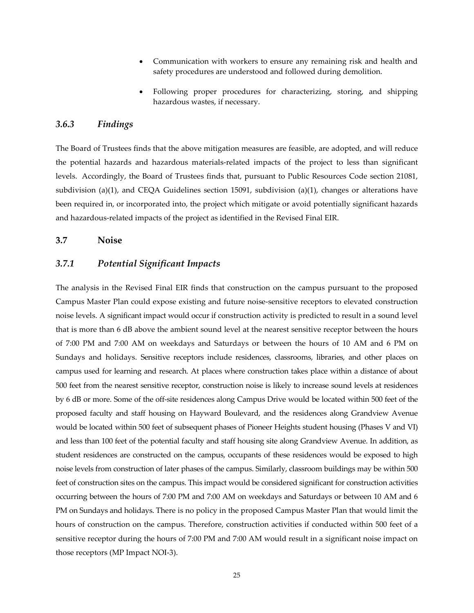- Communication with workers to ensure any remaining risk and health and safety procedures are understood and followed during demolition.
- Following proper procedures for characterizing, storing, and shipping hazardous wastes, if necessary.

# *3.6.3 Findings*

The Board of Trustees finds that the above mitigation measures are feasible, are adopted, and will reduce the potential hazards and hazardous materials-related impacts of the project to less than significant levels. Accordingly, the Board of Trustees finds that, pursuant to Public Resources Code section 21081, subdivision (a)(1), and CEQA Guidelines section 15091, subdivision (a)(1), changes or alterations have been required in, or incorporated into, the project which mitigate or avoid potentially significant hazards and hazardous-related impacts of the project as identified in the Revised Final EIR.

#### **3.7 Noise**

# *3.7.1 Potential Significant Impacts*

The analysis in the Revised Final EIR finds that construction on the campus pursuant to the proposed Campus Master Plan could expose existing and future noise-sensitive receptors to elevated construction noise levels. A significant impact would occur if construction activity is predicted to result in a sound level that is more than 6 dB above the ambient sound level at the nearest sensitive receptor between the hours of 7:00 PM and 7:00 AM on weekdays and Saturdays or between the hours of 10 AM and 6 PM on Sundays and holidays. Sensitive receptors include residences, classrooms, libraries, and other places on campus used for learning and research. At places where construction takes place within a distance of about 500 feet from the nearest sensitive receptor, construction noise is likely to increase sound levels at residences by 6 dB or more. Some of the off-site residences along Campus Drive would be located within 500 feet of the proposed faculty and staff housing on Hayward Boulevard, and the residences along Grandview Avenue would be located within 500 feet of subsequent phases of Pioneer Heights student housing (Phases V and VI) and less than 100 feet of the potential faculty and staff housing site along Grandview Avenue. In addition, as student residences are constructed on the campus, occupants of these residences would be exposed to high noise levels from construction of later phases of the campus. Similarly, classroom buildings may be within 500 feet of construction sites on the campus. This impact would be considered significant for construction activities occurring between the hours of 7:00 PM and 7:00 AM on weekdays and Saturdays or between 10 AM and 6 PM on Sundays and holidays. There is no policy in the proposed Campus Master Plan that would limit the hours of construction on the campus. Therefore, construction activities if conducted within 500 feet of a sensitive receptor during the hours of 7:00 PM and 7:00 AM would result in a significant noise impact on those receptors (MP Impact NOI-3).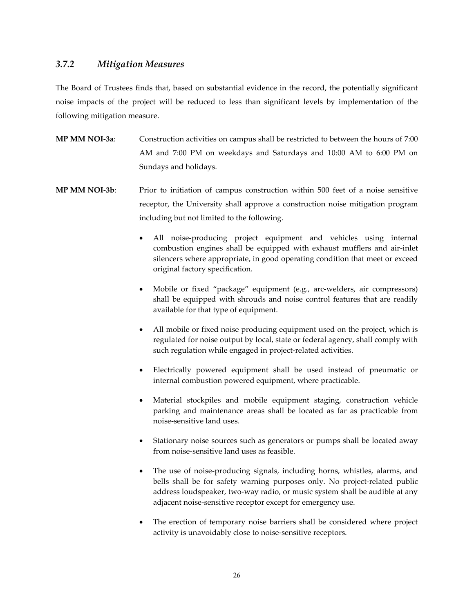# *3.7.2 Mitigation Measures*

The Board of Trustees finds that, based on substantial evidence in the record, the potentially significant noise impacts of the project will be reduced to less than significant levels by implementation of the following mitigation measure.

- **MP MM NOI-3a**: Construction activities on campus shall be restricted to between the hours of 7:00 AM and 7:00 PM on weekdays and Saturdays and 10:00 AM to 6:00 PM on Sundays and holidays.
- **MP MM NOI-3b**: Prior to initiation of campus construction within 500 feet of a noise sensitive receptor, the University shall approve a construction noise mitigation program including but not limited to the following.
	- All noise-producing project equipment and vehicles using internal combustion engines shall be equipped with exhaust mufflers and air-inlet silencers where appropriate, in good operating condition that meet or exceed original factory specification.
	- Mobile or fixed "package" equipment (e.g., arc-welders, air compressors) shall be equipped with shrouds and noise control features that are readily available for that type of equipment.
	- All mobile or fixed noise producing equipment used on the project, which is regulated for noise output by local, state or federal agency, shall comply with such regulation while engaged in project-related activities.
	- Electrically powered equipment shall be used instead of pneumatic or internal combustion powered equipment, where practicable.
	- Material stockpiles and mobile equipment staging, construction vehicle parking and maintenance areas shall be located as far as practicable from noise-sensitive land uses.
	- Stationary noise sources such as generators or pumps shall be located away from noise-sensitive land uses as feasible.
	- The use of noise-producing signals, including horns, whistles, alarms, and bells shall be for safety warning purposes only. No project-related public address loudspeaker, two-way radio, or music system shall be audible at any adjacent noise-sensitive receptor except for emergency use.
	- The erection of temporary noise barriers shall be considered where project activity is unavoidably close to noise-sensitive receptors.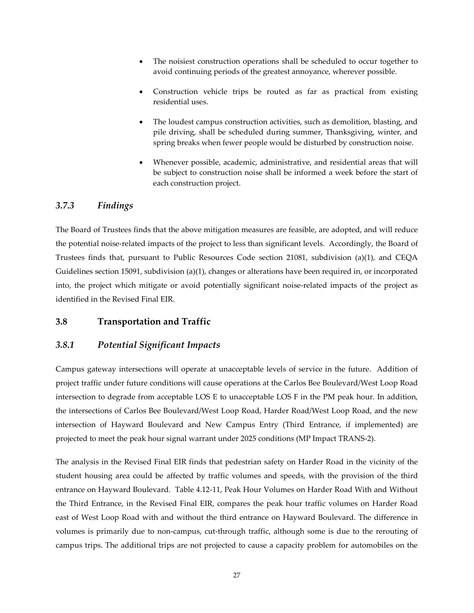- The noisiest construction operations shall be scheduled to occur together to avoid continuing periods of the greatest annoyance, wherever possible.
- Construction vehicle trips be routed as far as practical from existing residential uses.
- The loudest campus construction activities, such as demolition, blasting, and pile driving, shall be scheduled during summer, Thanksgiving, winter, and spring breaks when fewer people would be disturbed by construction noise.
- Whenever possible, academic, administrative, and residential areas that will be subject to construction noise shall be informed a week before the start of each construction project.

# *3.7.3 Findings*

The Board of Trustees finds that the above mitigation measures are feasible, are adopted, and will reduce the potential noise-related impacts of the project to less than significant levels. Accordingly, the Board of Trustees finds that, pursuant to Public Resources Code section 21081, subdivision (a)(1), and CEQA Guidelines section 15091, subdivision (a)(1), changes or alterations have been required in, or incorporated into, the project which mitigate or avoid potentially significant noise-related impacts of the project as identified in the Revised Final EIR.

# **3.8 Transportation and Traffic**

# *3.8.1 Potential Significant Impacts*

Campus gateway intersections will operate at unacceptable levels of service in the future. Addition of project traffic under future conditions will cause operations at the Carlos Bee Boulevard/West Loop Road intersection to degrade from acceptable LOS E to unacceptable LOS F in the PM peak hour. In addition, the intersections of Carlos Bee Boulevard/West Loop Road, Harder Road/West Loop Road, and the new intersection of Hayward Boulevard and New Campus Entry (Third Entrance, if implemented) are projected to meet the peak hour signal warrant under 2025 conditions (MP Impact TRANS-2).

The analysis in the Revised Final EIR finds that pedestrian safety on Harder Road in the vicinity of the student housing area could be affected by traffic volumes and speeds, with the provision of the third entrance on Hayward Boulevard. Table 4.12-11, Peak Hour Volumes on Harder Road With and Without the Third Entrance, in the Revised Final EIR, compares the peak hour traffic volumes on Harder Road east of West Loop Road with and without the third entrance on Hayward Boulevard. The difference in volumes is primarily due to non-campus, cut-through traffic, although some is due to the rerouting of campus trips. The additional trips are not projected to cause a capacity problem for automobiles on the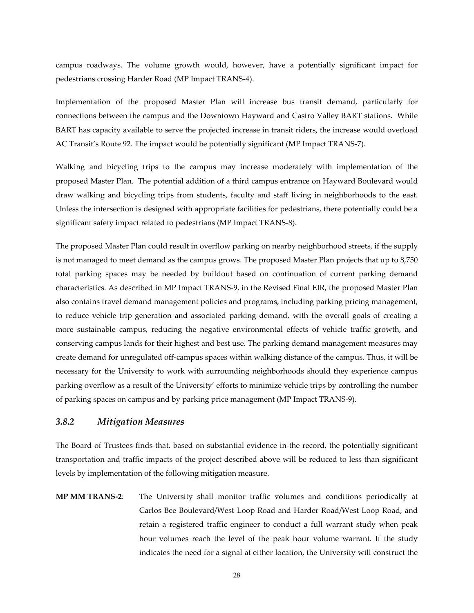campus roadways. The volume growth would, however, have a potentially significant impact for pedestrians crossing Harder Road (MP Impact TRANS-4).

Implementation of the proposed Master Plan will increase bus transit demand, particularly for connections between the campus and the Downtown Hayward and Castro Valley BART stations. While BART has capacity available to serve the projected increase in transit riders, the increase would overload AC Transit's Route 92. The impact would be potentially significant (MP Impact TRANS-7).

Walking and bicycling trips to the campus may increase moderately with implementation of the proposed Master Plan. The potential addition of a third campus entrance on Hayward Boulevard would draw walking and bicycling trips from students, faculty and staff living in neighborhoods to the east. Unless the intersection is designed with appropriate facilities for pedestrians, there potentially could be a significant safety impact related to pedestrians (MP Impact TRANS-8).

The proposed Master Plan could result in overflow parking on nearby neighborhood streets, if the supply is not managed to meet demand as the campus grows. The proposed Master Plan projects that up to 8,750 total parking spaces may be needed by buildout based on continuation of current parking demand characteristics. As described in MP Impact TRANS-9, in the Revised Final EIR, the proposed Master Plan also contains travel demand management policies and programs, including parking pricing management, to reduce vehicle trip generation and associated parking demand, with the overall goals of creating a more sustainable campus, reducing the negative environmental effects of vehicle traffic growth, and conserving campus lands for their highest and best use. The parking demand management measures may create demand for unregulated off-campus spaces within walking distance of the campus. Thus, it will be necessary for the University to work with surrounding neighborhoods should they experience campus parking overflow as a result of the University' efforts to minimize vehicle trips by controlling the number of parking spaces on campus and by parking price management (MP Impact TRANS-9).

# *3.8.2 Mitigation Measures*

The Board of Trustees finds that, based on substantial evidence in the record, the potentially significant transportation and traffic impacts of the project described above will be reduced to less than significant levels by implementation of the following mitigation measure.

**MP MM TRANS-2**: The University shall monitor traffic volumes and conditions periodically at Carlos Bee Boulevard/West Loop Road and Harder Road/West Loop Road, and retain a registered traffic engineer to conduct a full warrant study when peak hour volumes reach the level of the peak hour volume warrant. If the study indicates the need for a signal at either location, the University will construct the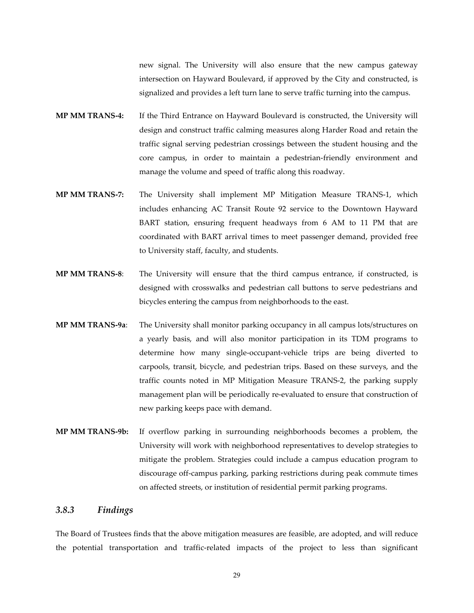new signal. The University will also ensure that the new campus gateway intersection on Hayward Boulevard, if approved by the City and constructed, is signalized and provides a left turn lane to serve traffic turning into the campus.

- **MP MM TRANS-4:** If the Third Entrance on Hayward Boulevard is constructed, the University will design and construct traffic calming measures along Harder Road and retain the traffic signal serving pedestrian crossings between the student housing and the core campus, in order to maintain a pedestrian-friendly environment and manage the volume and speed of traffic along this roadway.
- **MP MM TRANS-7:** The University shall implement MP Mitigation Measure TRANS-1, which includes enhancing AC Transit Route 92 service to the Downtown Hayward BART station, ensuring frequent headways from 6 AM to 11 PM that are coordinated with BART arrival times to meet passenger demand, provided free to University staff, faculty, and students.
- **MP MM TRANS-8**: The University will ensure that the third campus entrance, if constructed, is designed with crosswalks and pedestrian call buttons to serve pedestrians and bicycles entering the campus from neighborhoods to the east.
- **MP MM TRANS-9a**: The University shall monitor parking occupancy in all campus lots/structures on a yearly basis, and will also monitor participation in its TDM programs to determine how many single-occupant-vehicle trips are being diverted to carpools, transit, bicycle, and pedestrian trips. Based on these surveys, and the traffic counts noted in MP Mitigation Measure TRANS-2, the parking supply management plan will be periodically re-evaluated to ensure that construction of new parking keeps pace with demand.
- **MP MM TRANS-9b:** If overflow parking in surrounding neighborhoods becomes a problem, the University will work with neighborhood representatives to develop strategies to mitigate the problem. Strategies could include a campus education program to discourage off-campus parking, parking restrictions during peak commute times on affected streets, or institution of residential permit parking programs.

# *3.8.3 Findings*

The Board of Trustees finds that the above mitigation measures are feasible, are adopted, and will reduce the potential transportation and traffic-related impacts of the project to less than significant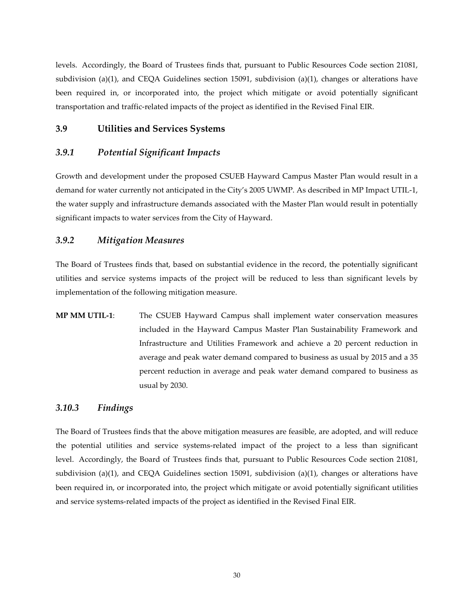levels. Accordingly, the Board of Trustees finds that, pursuant to Public Resources Code section 21081, subdivision (a)(1), and CEQA Guidelines section 15091, subdivision (a)(1), changes or alterations have been required in, or incorporated into, the project which mitigate or avoid potentially significant transportation and traffic-related impacts of the project as identified in the Revised Final EIR.

## **3.9 Utilities and Services Systems**

## *3.9.1 Potential Significant Impacts*

Growth and development under the proposed CSUEB Hayward Campus Master Plan would result in a demand for water currently not anticipated in the City's 2005 UWMP. As described in MP Impact UTIL-1, the water supply and infrastructure demands associated with the Master Plan would result in potentially significant impacts to water services from the City of Hayward.

# *3.9.2 Mitigation Measures*

The Board of Trustees finds that, based on substantial evidence in the record, the potentially significant utilities and service systems impacts of the project will be reduced to less than significant levels by implementation of the following mitigation measure.

**MP MM UTIL-1**: The CSUEB Hayward Campus shall implement water conservation measures included in the Hayward Campus Master Plan Sustainability Framework and Infrastructure and Utilities Framework and achieve a 20 percent reduction in average and peak water demand compared to business as usual by 2015 and a 35 percent reduction in average and peak water demand compared to business as usual by 2030.

### *3.10.3 Findings*

The Board of Trustees finds that the above mitigation measures are feasible, are adopted, and will reduce the potential utilities and service systems-related impact of the project to a less than significant level. Accordingly, the Board of Trustees finds that, pursuant to Public Resources Code section 21081, subdivision (a)(1), and CEQA Guidelines section 15091, subdivision (a)(1), changes or alterations have been required in, or incorporated into, the project which mitigate or avoid potentially significant utilities and service systems-related impacts of the project as identified in the Revised Final EIR.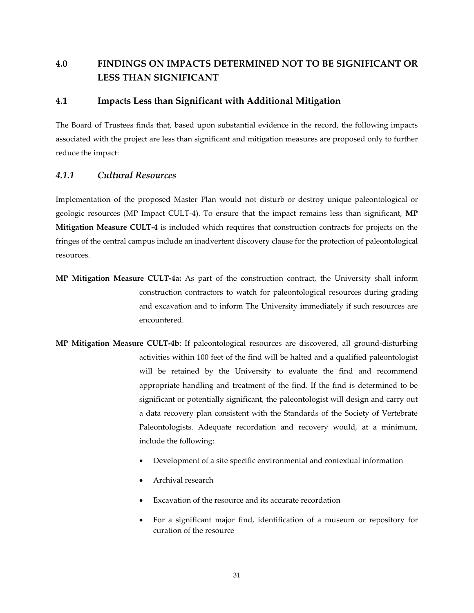# **4.0 FINDINGS ON IMPACTS DETERMINED NOT TO BE SIGNIFICANT OR LESS THAN SIGNIFICANT**

# **4.1 Impacts Less than Significant with Additional Mitigation**

The Board of Trustees finds that, based upon substantial evidence in the record, the following impacts associated with the project are less than significant and mitigation measures are proposed only to further reduce the impact:

# *4.1.1 Cultural Resources*

Implementation of the proposed Master Plan would not disturb or destroy unique paleontological or geologic resources (MP Impact CULT-4). To ensure that the impact remains less than significant, **MP Mitigation Measure CULT-4** is included which requires that construction contracts for projects on the fringes of the central campus include an inadvertent discovery clause for the protection of paleontological resources.

- **MP Mitigation Measure CULT-4a:** As part of the construction contract, the University shall inform construction contractors to watch for paleontological resources during grading and excavation and to inform The University immediately if such resources are encountered.
- **MP Mitigation Measure CULT-4b**: If paleontological resources are discovered, all ground-disturbing activities within 100 feet of the find will be halted and a qualified paleontologist will be retained by the University to evaluate the find and recommend appropriate handling and treatment of the find. If the find is determined to be significant or potentially significant, the paleontologist will design and carry out a data recovery plan consistent with the Standards of the Society of Vertebrate Paleontologists. Adequate recordation and recovery would, at a minimum, include the following:
	- Development of a site specific environmental and contextual information
	- Archival research
	- Excavation of the resource and its accurate recordation
	- For a significant major find, identification of a museum or repository for curation of the resource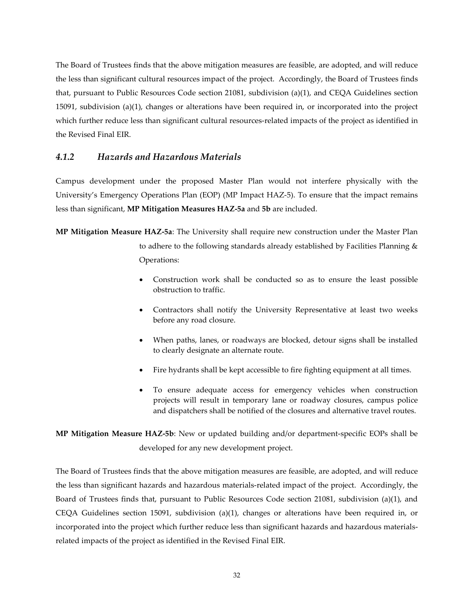The Board of Trustees finds that the above mitigation measures are feasible, are adopted, and will reduce the less than significant cultural resources impact of the project. Accordingly, the Board of Trustees finds that, pursuant to Public Resources Code section 21081, subdivision (a)(1), and CEQA Guidelines section 15091, subdivision (a)(1), changes or alterations have been required in, or incorporated into the project which further reduce less than significant cultural resources-related impacts of the project as identified in the Revised Final EIR.

# *4.1.2 Hazards and Hazardous Materials*

Campus development under the proposed Master Plan would not interfere physically with the University's Emergency Operations Plan (EOP) (MP Impact HAZ-5). To ensure that the impact remains less than significant, **MP Mitigation Measures HAZ-5a** and **5b** are included.

**MP Mitigation Measure HAZ-5a**: The University shall require new construction under the Master Plan to adhere to the following standards already established by Facilities Planning & Operations:

- Construction work shall be conducted so as to ensure the least possible obstruction to traffic.
- Contractors shall notify the University Representative at least two weeks before any road closure.
- When paths, lanes, or roadways are blocked, detour signs shall be installed to clearly designate an alternate route.
- Fire hydrants shall be kept accessible to fire fighting equipment at all times.
- To ensure adequate access for emergency vehicles when construction projects will result in temporary lane or roadway closures, campus police and dispatchers shall be notified of the closures and alternative travel routes.

**MP Mitigation Measure HAZ-5b**: New or updated building and/or department-specific EOPs shall be developed for any new development project.

The Board of Trustees finds that the above mitigation measures are feasible, are adopted, and will reduce the less than significant hazards and hazardous materials-related impact of the project. Accordingly, the Board of Trustees finds that, pursuant to Public Resources Code section 21081, subdivision (a)(1), and CEQA Guidelines section 15091, subdivision (a)(1), changes or alterations have been required in, or incorporated into the project which further reduce less than significant hazards and hazardous materialsrelated impacts of the project as identified in the Revised Final EIR.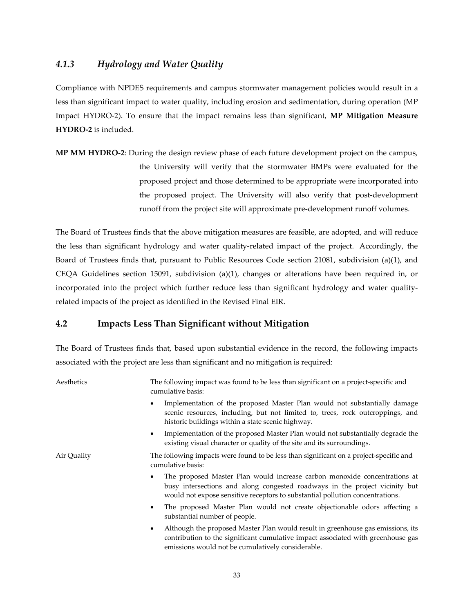# *4.1.3 Hydrology and Water Quality*

Compliance with NPDES requirements and campus stormwater management policies would result in a less than significant impact to water quality, including erosion and sedimentation, during operation (MP Impact HYDRO-2). To ensure that the impact remains less than significant, **MP Mitigation Measure HYDRO-2** is included.

**MP MM HYDRO-2**: During the design review phase of each future development project on the campus, the University will verify that the stormwater BMPs were evaluated for the proposed project and those determined to be appropriate were incorporated into the proposed project. The University will also verify that post-development runoff from the project site will approximate pre-development runoff volumes.

The Board of Trustees finds that the above mitigation measures are feasible, are adopted, and will reduce the less than significant hydrology and water quality-related impact of the project. Accordingly, the Board of Trustees finds that, pursuant to Public Resources Code section 21081, subdivision (a)(1), and CEQA Guidelines section 15091, subdivision (a)(1), changes or alterations have been required in, or incorporated into the project which further reduce less than significant hydrology and water qualityrelated impacts of the project as identified in the Revised Final EIR.

# **4.2 Impacts Less Than Significant without Mitigation**

The Board of Trustees finds that, based upon substantial evidence in the record, the following impacts associated with the project are less than significant and no mitigation is required:

| Aesthetics  | The following impact was found to be less than significant on a project-specific and<br>cumulative basis:                                                                                                                                 |
|-------------|-------------------------------------------------------------------------------------------------------------------------------------------------------------------------------------------------------------------------------------------|
|             | Implementation of the proposed Master Plan would not substantially damage<br>scenic resources, including, but not limited to, trees, rock outcroppings, and<br>historic buildings within a state scenic highway.                          |
|             | Implementation of the proposed Master Plan would not substantially degrade the<br>$\bullet$<br>existing visual character or quality of the site and its surroundings.                                                                     |
| Air Quality | The following impacts were found to be less than significant on a project-specific and<br>cumulative basis:                                                                                                                               |
|             | The proposed Master Plan would increase carbon monoxide concentrations at<br>busy intersections and along congested roadways in the project vicinity but<br>would not expose sensitive receptors to substantial pollution concentrations. |
|             | The proposed Master Plan would not create objectionable odors affecting a<br>$\bullet$<br>substantial number of people.                                                                                                                   |
|             | Although the proposed Master Plan would result in greenhouse gas emissions, its<br>$\bullet$<br>contribution to the significant cumulative impact associated with greenhouse gas<br>emissions would not be cumulatively considerable.     |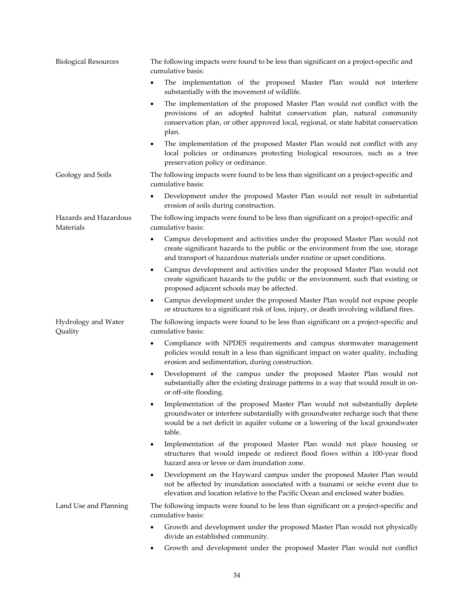| <b>Biological Resources</b>        | The following impacts were found to be less than significant on a project-specific and<br>cumulative basis:                                                                                                                                                 |
|------------------------------------|-------------------------------------------------------------------------------------------------------------------------------------------------------------------------------------------------------------------------------------------------------------|
|                                    | The implementation of the proposed Master Plan would not interfere<br>٠<br>substantially with the movement of wildlife.                                                                                                                                     |
|                                    | The implementation of the proposed Master Plan would not conflict with the<br>٠<br>provisions of an adopted habitat conservation plan, natural community<br>conservation plan, or other approved local, regional, or state habitat conservation<br>plan.    |
|                                    | The implementation of the proposed Master Plan would not conflict with any<br>$\bullet$<br>local policies or ordinances protecting biological resources, such as a tree<br>preservation policy or ordinance.                                                |
| Geology and Soils                  | The following impacts were found to be less than significant on a project-specific and<br>cumulative basis:                                                                                                                                                 |
|                                    | Development under the proposed Master Plan would not result in substantial<br>٠<br>erosion of soils during construction.                                                                                                                                    |
| Hazards and Hazardous<br>Materials | The following impacts were found to be less than significant on a project-specific and<br>cumulative basis:                                                                                                                                                 |
|                                    | Campus development and activities under the proposed Master Plan would not<br>٠<br>create significant hazards to the public or the environment from the use, storage<br>and transport of hazardous materials under routine or upset conditions.             |
|                                    | Campus development and activities under the proposed Master Plan would not<br>٠<br>create significant hazards to the public or the environment, such that existing or<br>proposed adjacent schools may be affected.                                         |
|                                    | Campus development under the proposed Master Plan would not expose people<br>٠<br>or structures to a significant risk of loss, injury, or death involving wildland fires.                                                                                   |
| Hydrology and Water<br>Quality     | The following impacts were found to be less than significant on a project-specific and<br>cumulative basis:                                                                                                                                                 |
|                                    | Compliance with NPDES requirements and campus stormwater management<br>$\bullet$<br>policies would result in a less than significant impact on water quality, including<br>erosion and sedimentation, during construction.                                  |
|                                    | Development of the campus under the proposed Master Plan would not<br>$\bullet$<br>substantially alter the existing drainage patterns in a way that would result in on-<br>or off-site flooding.                                                            |
|                                    | Implementation of the proposed Master Plan would not substantially deplete<br>groundwater or interfere substantially with groundwater recharge such that there<br>would be a net deficit in aquifer volume or a lowering of the local groundwater<br>table. |
|                                    | Implementation of the proposed Master Plan would not place housing or<br>٠<br>structures that would impede or redirect flood flows within a 100-year flood<br>hazard area or levee or dam inundation zone.                                                  |
|                                    | Development on the Hayward campus under the proposed Master Plan would<br>٠<br>not be affected by inundation associated with a tsunami or seiche event due to<br>elevation and location relative to the Pacific Ocean and enclosed water bodies.            |
| Land Use and Planning              | The following impacts were found to be less than significant on a project-specific and<br>cumulative basis:                                                                                                                                                 |
|                                    | Growth and development under the proposed Master Plan would not physically<br>٠<br>divide an established community.                                                                                                                                         |
|                                    | Growth and development under the proposed Master Plan would not conflict<br>٠                                                                                                                                                                               |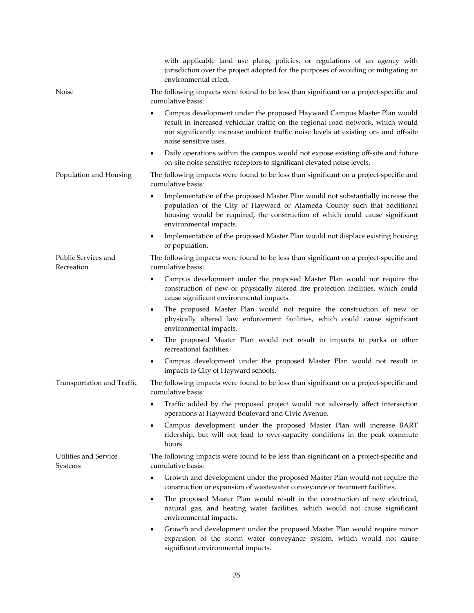|                                   | with applicable land use plans, policies, or regulations of an agency with<br>jurisdiction over the project adopted for the purposes of avoiding or mitigating an<br>environmental effect.                                                                                         |
|-----------------------------------|------------------------------------------------------------------------------------------------------------------------------------------------------------------------------------------------------------------------------------------------------------------------------------|
| Noise                             | The following impacts were found to be less than significant on a project-specific and<br>cumulative basis:                                                                                                                                                                        |
|                                   | Campus development under the proposed Hayward Campus Master Plan would<br>٠<br>result in increased vehicular traffic on the regional road network, which would<br>not significantly increase ambient traffic noise levels at existing on- and off-site<br>noise sensitive uses.    |
|                                   | Daily operations within the campus would not expose existing off-site and future<br>٠<br>on-site noise sensitive receptors to significant elevated noise levels.                                                                                                                   |
| Population and Housing            | The following impacts were found to be less than significant on a project-specific and<br>cumulative basis:                                                                                                                                                                        |
|                                   | Implementation of the proposed Master Plan would not substantially increase the<br>$\bullet$<br>population of the City of Hayward or Alameda County such that additional<br>housing would be required, the construction of which could cause significant<br>environmental impacts. |
|                                   | Implementation of the proposed Master Plan would not displace existing housing<br>٠<br>or population.                                                                                                                                                                              |
| Public Services and<br>Recreation | The following impacts were found to be less than significant on a project-specific and<br>cumulative basis:                                                                                                                                                                        |
|                                   | Campus development under the proposed Master Plan would not require the<br>٠<br>construction of new or physically altered fire protection facilities, which could<br>cause significant environmental impacts.                                                                      |
|                                   | The proposed Master Plan would not require the construction of new or<br>٠<br>physically altered law enforcement facilities, which could cause significant<br>environmental impacts.                                                                                               |
|                                   | The proposed Master Plan would not result in impacts to parks or other<br>٠<br>recreational facilities.                                                                                                                                                                            |
|                                   | Campus development under the proposed Master Plan would not result in<br>$\bullet$<br>impacts to City of Hayward schools.                                                                                                                                                          |
| Transportation and Traffic        | The following impacts were found to be less than significant on a project-specific and<br>cumulative basis:                                                                                                                                                                        |
|                                   | Traffic added by the proposed project would not adversely affect intersection<br>operations at Hayward Boulevard and Civic Avenue.                                                                                                                                                 |
|                                   | Campus development under the proposed Master Plan will increase BART<br>٠<br>ridership, but will not lead to over-capacity conditions in the peak commute<br>hours.                                                                                                                |
| Utilities and Service<br>Systems  | The following impacts were found to be less than significant on a project-specific and<br>cumulative basis:                                                                                                                                                                        |
|                                   | Growth and development under the proposed Master Plan would not require the<br>$\bullet$<br>construction or expansion of wastewater conveyance or treatment facilities.                                                                                                            |
|                                   | The proposed Master Plan would result in the construction of new electrical,<br>٠<br>natural gas, and heating water facilities, which would not cause significant<br>environmental impacts.                                                                                        |
|                                   | Growth and development under the proposed Master Plan would require minor<br>٠<br>expansion of the storm water conveyance system, which would not cause<br>significant environmental impacts.                                                                                      |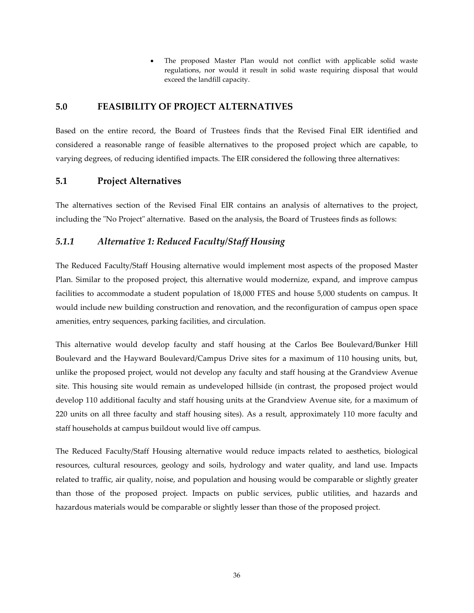The proposed Master Plan would not conflict with applicable solid waste regulations, nor would it result in solid waste requiring disposal that would exceed the landfill capacity.

# **5.0 FEASIBILITY OF PROJECT ALTERNATIVES**

Based on the entire record, the Board of Trustees finds that the Revised Final EIR identified and considered a reasonable range of feasible alternatives to the proposed project which are capable, to varying degrees, of reducing identified impacts. The EIR considered the following three alternatives:

# **5.1 Project Alternatives**

The alternatives section of the Revised Final EIR contains an analysis of alternatives to the project, including the "No Project" alternative. Based on the analysis, the Board of Trustees finds as follows:

# *5.1.1 Alternative 1: Reduced Faculty/Staff Housing*

The Reduced Faculty/Staff Housing alternative would implement most aspects of the proposed Master Plan. Similar to the proposed project, this alternative would modernize, expand, and improve campus facilities to accommodate a student population of 18,000 FTES and house 5,000 students on campus. It would include new building construction and renovation, and the reconfiguration of campus open space amenities, entry sequences, parking facilities, and circulation.

This alternative would develop faculty and staff housing at the Carlos Bee Boulevard/Bunker Hill Boulevard and the Hayward Boulevard/Campus Drive sites for a maximum of 110 housing units, but, unlike the proposed project, would not develop any faculty and staff housing at the Grandview Avenue site. This housing site would remain as undeveloped hillside (in contrast, the proposed project would develop 110 additional faculty and staff housing units at the Grandview Avenue site, for a maximum of 220 units on all three faculty and staff housing sites). As a result, approximately 110 more faculty and staff households at campus buildout would live off campus.

The Reduced Faculty/Staff Housing alternative would reduce impacts related to aesthetics, biological resources, cultural resources, geology and soils, hydrology and water quality, and land use. Impacts related to traffic, air quality, noise, and population and housing would be comparable or slightly greater than those of the proposed project. Impacts on public services, public utilities, and hazards and hazardous materials would be comparable or slightly lesser than those of the proposed project.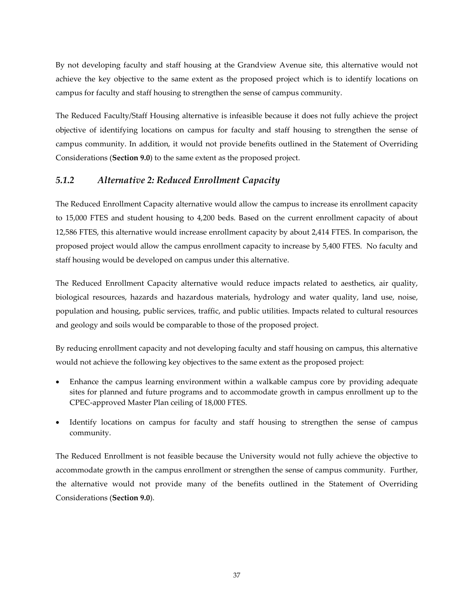By not developing faculty and staff housing at the Grandview Avenue site, this alternative would not achieve the key objective to the same extent as the proposed project which is to identify locations on campus for faculty and staff housing to strengthen the sense of campus community.

The Reduced Faculty/Staff Housing alternative is infeasible because it does not fully achieve the project objective of identifying locations on campus for faculty and staff housing to strengthen the sense of campus community. In addition, it would not provide benefits outlined in the Statement of Overriding Considerations (**Section 9.0**) to the same extent as the proposed project.

# *5.1.2 Alternative 2: Reduced Enrollment Capacity*

The Reduced Enrollment Capacity alternative would allow the campus to increase its enrollment capacity to 15,000 FTES and student housing to 4,200 beds. Based on the current enrollment capacity of about 12,586 FTES, this alternative would increase enrollment capacity by about 2,414 FTES. In comparison, the proposed project would allow the campus enrollment capacity to increase by 5,400 FTES. No faculty and staff housing would be developed on campus under this alternative.

The Reduced Enrollment Capacity alternative would reduce impacts related to aesthetics, air quality, biological resources, hazards and hazardous materials, hydrology and water quality, land use, noise, population and housing, public services, traffic, and public utilities. Impacts related to cultural resources and geology and soils would be comparable to those of the proposed project.

By reducing enrollment capacity and not developing faculty and staff housing on campus, this alternative would not achieve the following key objectives to the same extent as the proposed project:

- Enhance the campus learning environment within a walkable campus core by providing adequate sites for planned and future programs and to accommodate growth in campus enrollment up to the CPEC-approved Master Plan ceiling of 18,000 FTES.
- Identify locations on campus for faculty and staff housing to strengthen the sense of campus community.

The Reduced Enrollment is not feasible because the University would not fully achieve the objective to accommodate growth in the campus enrollment or strengthen the sense of campus community. Further, the alternative would not provide many of the benefits outlined in the Statement of Overriding Considerations (**Section 9.0**).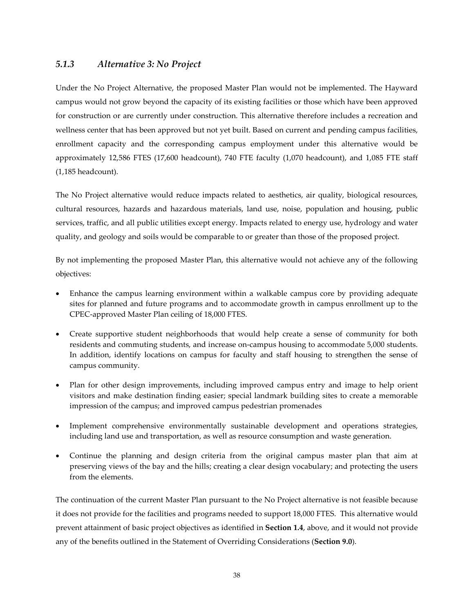# *5.1.3 Alternative 3: No Project*

Under the No Project Alternative, the proposed Master Plan would not be implemented. The Hayward campus would not grow beyond the capacity of its existing facilities or those which have been approved for construction or are currently under construction. This alternative therefore includes a recreation and wellness center that has been approved but not yet built. Based on current and pending campus facilities, enrollment capacity and the corresponding campus employment under this alternative would be approximately 12,586 FTES (17,600 headcount), 740 FTE faculty (1,070 headcount), and 1,085 FTE staff (1,185 headcount).

The No Project alternative would reduce impacts related to aesthetics, air quality, biological resources, cultural resources, hazards and hazardous materials, land use, noise, population and housing, public services, traffic, and all public utilities except energy. Impacts related to energy use, hydrology and water quality, and geology and soils would be comparable to or greater than those of the proposed project.

By not implementing the proposed Master Plan, this alternative would not achieve any of the following objectives:

- Enhance the campus learning environment within a walkable campus core by providing adequate sites for planned and future programs and to accommodate growth in campus enrollment up to the CPEC-approved Master Plan ceiling of 18,000 FTES.
- Create supportive student neighborhoods that would help create a sense of community for both residents and commuting students, and increase on-campus housing to accommodate 5,000 students. In addition, identify locations on campus for faculty and staff housing to strengthen the sense of campus community.
- Plan for other design improvements, including improved campus entry and image to help orient visitors and make destination finding easier; special landmark building sites to create a memorable impression of the campus; and improved campus pedestrian promenades
- Implement comprehensive environmentally sustainable development and operations strategies, including land use and transportation, as well as resource consumption and waste generation.
- Continue the planning and design criteria from the original campus master plan that aim at preserving views of the bay and the hills; creating a clear design vocabulary; and protecting the users from the elements.

The continuation of the current Master Plan pursuant to the No Project alternative is not feasible because it does not provide for the facilities and programs needed to support 18,000 FTES. This alternative would prevent attainment of basic project objectives as identified in **Section 1.4**, above, and it would not provide any of the benefits outlined in the Statement of Overriding Considerations (**Section 9.0**).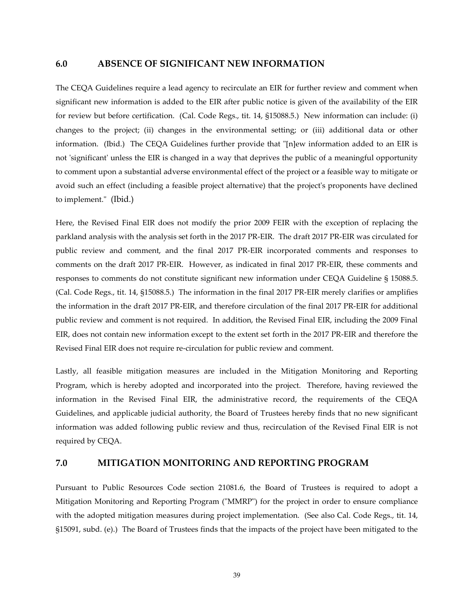# **6.0 ABSENCE OF SIGNIFICANT NEW INFORMATION**

The CEQA Guidelines require a lead agency to recirculate an EIR for further review and comment when significant new information is added to the EIR after public notice is given of the availability of the EIR for review but before certification. (Cal. Code Regs., tit. 14, §15088.5.) New information can include: (i) changes to the project; (ii) changes in the environmental setting; or (iii) additional data or other information. (Ibid.) The CEQA Guidelines further provide that "[n]ew information added to an EIR is not 'significant' unless the EIR is changed in a way that deprives the public of a meaningful opportunity to comment upon a substantial adverse environmental effect of the project or a feasible way to mitigate or avoid such an effect (including a feasible project alternative) that the project's proponents have declined to implement." (Ibid.)

Here, the Revised Final EIR does not modify the prior 2009 FEIR with the exception of replacing the parkland analysis with the analysis set forth in the 2017 PR-EIR. The draft 2017 PR-EIR was circulated for public review and comment, and the final 2017 PR-EIR incorporated comments and responses to comments on the draft 2017 PR-EIR. However, as indicated in final 2017 PR-EIR, these comments and responses to comments do not constitute significant new information under CEQA Guideline § 15088.5. (Cal. Code Regs., tit. 14, §15088.5.) The information in the final 2017 PR-EIR merely clarifies or amplifies the information in the draft 2017 PR-EIR, and therefore circulation of the final 2017 PR-EIR for additional public review and comment is not required. In addition, the Revised Final EIR, including the 2009 Final EIR, does not contain new information except to the extent set forth in the 2017 PR-EIR and therefore the Revised Final EIR does not require re-circulation for public review and comment.

Lastly, all feasible mitigation measures are included in the Mitigation Monitoring and Reporting Program, which is hereby adopted and incorporated into the project. Therefore, having reviewed the information in the Revised Final EIR, the administrative record, the requirements of the CEQA Guidelines, and applicable judicial authority, the Board of Trustees hereby finds that no new significant information was added following public review and thus, recirculation of the Revised Final EIR is not required by CEQA.

### **7.0 MITIGATION MONITORING AND REPORTING PROGRAM**

Pursuant to Public Resources Code section 21081.6, the Board of Trustees is required to adopt a Mitigation Monitoring and Reporting Program ("MMRP") for the project in order to ensure compliance with the adopted mitigation measures during project implementation. (See also Cal. Code Regs., tit. 14, §15091, subd. (e).) The Board of Trustees finds that the impacts of the project have been mitigated to the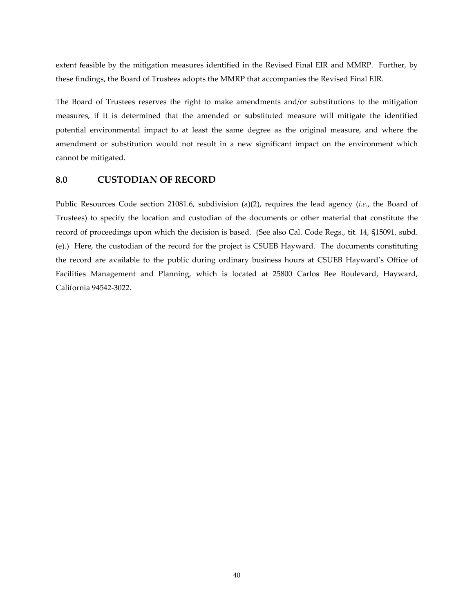extent feasible by the mitigation measures identified in the Revised Final EIR and MMRP. Further, by these findings, the Board of Trustees adopts the MMRP that accompanies the Revised Final EIR.

The Board of Trustees reserves the right to make amendments and/or substitutions to the mitigation measures, if it is determined that the amended or substituted measure will mitigate the identified potential environmental impact to at least the same degree as the original measure, and where the amendment or substitution would not result in a new significant impact on the environment which cannot be mitigated.

# **8.0 CUSTODIAN OF RECORD**

Public Resources Code section 21081.6, subdivision (a)(2), requires the lead agency (*i.e.*, the Board of Trustees) to specify the location and custodian of the documents or other material that constitute the record of proceedings upon which the decision is based. (See also Cal. Code Regs., tit. 14, §15091, subd. (e).) Here, the custodian of the record for the project is CSUEB Hayward. The documents constituting the record are available to the public during ordinary business hours at CSUEB Hayward's Office of Facilities Management and Planning, which is located at 25800 Carlos Bee Boulevard, Hayward, California 94542-3022.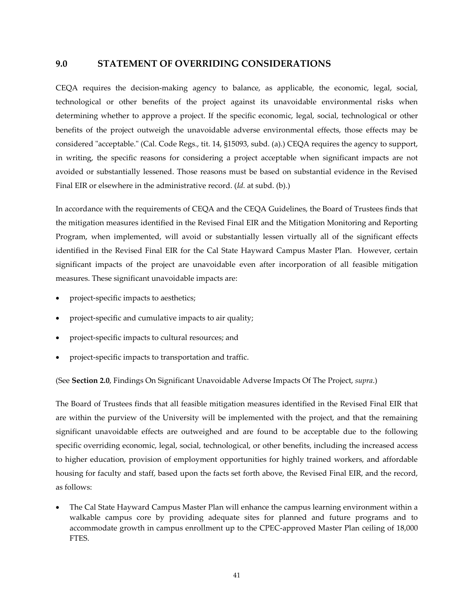## **9.0 STATEMENT OF OVERRIDING CONSIDERATIONS**

CEQA requires the decision-making agency to balance, as applicable, the economic, legal, social, technological or other benefits of the project against its unavoidable environmental risks when determining whether to approve a project. If the specific economic, legal, social, technological or other benefits of the project outweigh the unavoidable adverse environmental effects, those effects may be considered "acceptable." (Cal. Code Regs., tit. 14, §15093, subd. (a).) CEQA requires the agency to support, in writing, the specific reasons for considering a project acceptable when significant impacts are not avoided or substantially lessened. Those reasons must be based on substantial evidence in the Revised Final EIR or elsewhere in the administrative record. (*Id.* at subd. (b).)

In accordance with the requirements of CEQA and the CEQA Guidelines, the Board of Trustees finds that the mitigation measures identified in the Revised Final EIR and the Mitigation Monitoring and Reporting Program, when implemented, will avoid or substantially lessen virtually all of the significant effects identified in the Revised Final EIR for the Cal State Hayward Campus Master Plan. However, certain significant impacts of the project are unavoidable even after incorporation of all feasible mitigation measures. These significant unavoidable impacts are:

- project-specific impacts to aesthetics;
- project-specific and cumulative impacts to air quality;
- project-specific impacts to cultural resources; and
- project-specific impacts to transportation and traffic.

(See **Section 2.0**, Findings On Significant Unavoidable Adverse Impacts Of The Project, *supra*.)

The Board of Trustees finds that all feasible mitigation measures identified in the Revised Final EIR that are within the purview of the University will be implemented with the project, and that the remaining significant unavoidable effects are outweighed and are found to be acceptable due to the following specific overriding economic, legal, social, technological, or other benefits, including the increased access to higher education, provision of employment opportunities for highly trained workers, and affordable housing for faculty and staff, based upon the facts set forth above, the Revised Final EIR, and the record, as follows:

• The Cal State Hayward Campus Master Plan will enhance the campus learning environment within a walkable campus core by providing adequate sites for planned and future programs and to accommodate growth in campus enrollment up to the CPEC-approved Master Plan ceiling of 18,000 FTES.